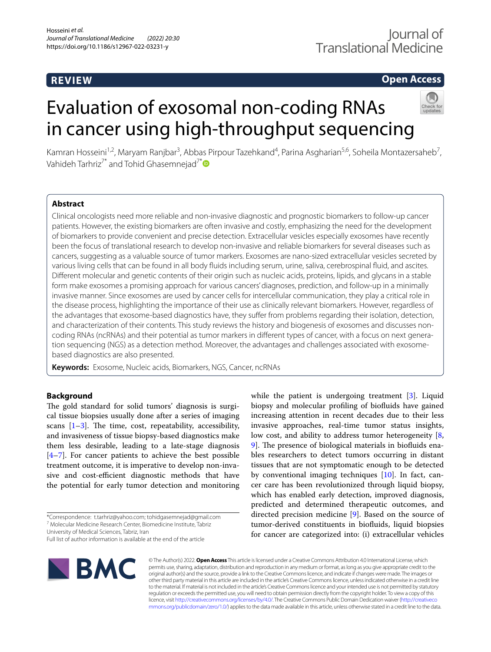# **REVIEW**

# **Open Access**

# Evaluation of exosomal non-coding RNAs in cancer using high-throughput sequencing



Kamran Hosseini<sup>1,2</sup>, Maryam Ranjbar<sup>3</sup>, Abbas Pirpour Tazehkand<sup>4</sup>, Parina Asgharian<sup>5,6</sup>, Soheila Montazersaheb<sup>7</sup>, Vahideh Tarhriz<sup>7[\\*](http://orcid.org/0000-0002-4746-2320)</sup> and Tohid Ghasemnejad<sup>7\*</sup>

## **Abstract**

Clinical oncologists need more reliable and non-invasive diagnostic and prognostic biomarkers to follow-up cancer patients. However, the existing biomarkers are often invasive and costly, emphasizing the need for the development of biomarkers to provide convenient and precise detection. Extracellular vesicles especially exosomes have recently been the focus of translational research to develop non-invasive and reliable biomarkers for several diseases such as cancers, suggesting as a valuable source of tumor markers. Exosomes are nano-sized extracellular vesicles secreted by various living cells that can be found in all body fuids including serum, urine, saliva, cerebrospinal fuid, and ascites. Diferent molecular and genetic contents of their origin such as nucleic acids, proteins, lipids, and glycans in a stable form make exosomes a promising approach for various cancers' diagnoses, prediction, and follow-up in a minimally invasive manner. Since exosomes are used by cancer cells for intercellular communication, they play a critical role in the disease process, highlighting the importance of their use as clinically relevant biomarkers. However, regardless of the advantages that exosome-based diagnostics have, they sufer from problems regarding their isolation, detection, and characterization of their contents. This study reviews the history and biogenesis of exosomes and discusses noncoding RNAs (ncRNAs) and their potential as tumor markers in diferent types of cancer, with a focus on next generation sequencing (NGS) as a detection method. Moreover, the advantages and challenges associated with exosomebased diagnostics are also presented.

**Keywords:** Exosome, Nucleic acids, Biomarkers, NGS, Cancer, ncRNAs

## **Background**

The gold standard for solid tumors' diagnosis is surgical tissue biopsies usually done after a series of imaging scans  $[1-3]$  $[1-3]$ . The time, cost, repeatability, accessibility, and invasiveness of tissue biopsy-based diagnostics make them less desirable, leading to a late-stage diagnosis  $[4–7]$  $[4–7]$  $[4–7]$ . For cancer patients to achieve the best possible treatment outcome, it is imperative to develop non-invasive and cost-efficient diagnostic methods that have the potential for early tumor detection and monitoring

\*Correspondence: t.tarhriz@yahoo.com; tohidgasemnejad@gmail.com 7 Molecular Medicine Research Center, Biomedicine Institute, Tabriz

University of Medical Sciences, Tabriz, Iran

Full list of author information is available at the end of the article



biopsy and molecular profling of biofuids have gained increasing attention in recent decades due to their less invasive approaches, real-time tumor status insights, low cost, and ability to address tumor heterogeneity [\[8](#page-10-4), [9\]](#page-10-5). The presence of biological materials in biofluids enables researchers to detect tumors occurring in distant tissues that are not symptomatic enough to be detected by conventional imaging techniques [[10](#page-10-6)]. In fact, cancer care has been revolutionized through liquid biopsy, which has enabled early detection, improved diagnosis, predicted and determined therapeutic outcomes, and directed precision medicine [[9\]](#page-10-5). Based on the source of tumor-derived constituents in biofuids, liquid biopsies for cancer are categorized into: (i) extracellular vehicles

while the patient is undergoing treatment [\[3](#page-10-1)]. Liquid

© The Author(s) 2022. **Open Access** This article is licensed under a Creative Commons Attribution 4.0 International License, which permits use, sharing, adaptation, distribution and reproduction in any medium or format, as long as you give appropriate credit to the original author(s) and the source, provide a link to the Creative Commons licence, and indicate if changes were made. The images or other third party material in this article are included in the article's Creative Commons licence, unless indicated otherwise in a credit line to the material. If material is not included in the article's Creative Commons licence and your intended use is not permitted by statutory regulation or exceeds the permitted use, you will need to obtain permission directly from the copyright holder. To view a copy of this licence, visit [http://creativecommons.org/licenses/by/4.0/.](http://creativecommons.org/licenses/by/4.0/) The Creative Commons Public Domain Dedication waiver ([http://creativeco](http://creativecommons.org/publicdomain/zero/1.0/) [mmons.org/publicdomain/zero/1.0/](http://creativecommons.org/publicdomain/zero/1.0/)) applies to the data made available in this article, unless otherwise stated in a credit line to the data.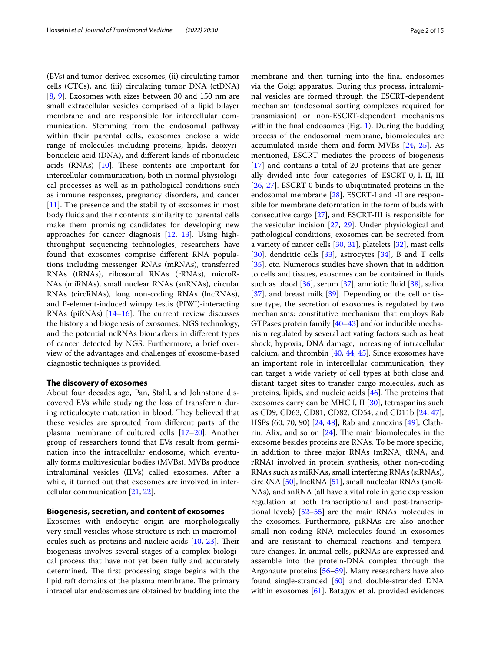(EVs) and tumor-derived exosomes, (ii) circulating tumor cells (CTCs), and (iii) circulating tumor DNA (ctDNA) [[8,](#page-10-4) [9](#page-10-5)]. Exosomes with sizes between 30 and 150 nm are small extracellular vesicles comprised of a lipid bilayer membrane and are responsible for intercellular communication. Stemming from the endosomal pathway within their parental cells, exosomes enclose a wide range of molecules including proteins, lipids, deoxyribonucleic acid (DNA), and diferent kinds of ribonucleic acids (RNAs)  $[10]$  $[10]$  $[10]$ . These contents are important for intercellular communication, both in normal physiological processes as well as in pathological conditions such as immune responses, pregnancy disorders, and cancer  $[11]$  $[11]$ . The presence and the stability of exosomes in most body fuids and their contents' similarity to parental cells make them promising candidates for developing new approaches for cancer diagnosis [[12,](#page-10-8) [13\]](#page-10-9). Using highthroughput sequencing technologies, researchers have found that exosomes comprise diferent RNA populations including messenger RNAs (mRNAs), transferred RNAs (tRNAs), ribosomal RNAs (rRNAs), microR-NAs (miRNAs), small nuclear RNAs (snRNAs), circular RNAs (circRNAs), long non-coding RNAs (lncRNAs), and P-element-induced wimpy testis (PIWI)-interacting RNAs (piRNAs)  $[14–16]$  $[14–16]$  $[14–16]$  $[14–16]$ . The current review discusses the history and biogenesis of exosomes, NGS technology, and the potential ncRNAs biomarkers in diferent types of cancer detected by NGS. Furthermore, a brief overview of the advantages and challenges of exosome-based diagnostic techniques is provided.

#### **The discovery of exosomes**

About four decades ago, Pan, Stahl, and Johnstone discovered EVs while studying the loss of transferrin during reticulocyte maturation in blood. They believed that these vesicles are sprouted from diferent parts of the plasma membrane of cultured cells [[17–](#page-10-12)[20](#page-10-13)]. Another group of researchers found that EVs result from germination into the intracellular endosome, which eventually forms multivesicular bodies (MVBs). MVBs produce intraluminal vesicles (ILVs) called exosomes. After a while, it turned out that exosomes are involved in intercellular communication [\[21,](#page-10-14) [22](#page-10-15)].

#### **Biogenesis, secretion, and content of exosomes**

Exosomes with endocytic origin are morphologically very small vesicles whose structure is rich in macromolecules such as proteins and nucleic acids  $[10, 23]$  $[10, 23]$  $[10, 23]$  $[10, 23]$ . Their biogenesis involves several stages of a complex biological process that have not yet been fully and accurately determined. The first processing stage begins with the lipid raft domains of the plasma membrane. The primary intracellular endosomes are obtained by budding into the membrane and then turning into the fnal endosomes via the Golgi apparatus. During this process, intraluminal vesicles are formed through the ESCRT-dependent mechanism (endosomal sorting complexes required for transmission) or non-ESCRT-dependent mechanisms within the fnal endosomes (Fig. [1](#page-2-0)). During the budding process of the endosomal membrane, biomolecules are accumulated inside them and form MVBs [[24,](#page-10-17) [25](#page-10-18)]. As mentioned, ESCRT mediates the process of biogenesis [[17\]](#page-10-12) and contains a total of 20 proteins that are generally divided into four categories of ESCRT-0,-I,-II,-III [[26,](#page-10-19) [27\]](#page-10-20). ESCRT-0 binds to ubiquitinated proteins in the endosomal membrane [[28](#page-10-21)]. ESCRT-I and -II are responsible for membrane deformation in the form of buds with consecutive cargo [[27\]](#page-10-20), and ESCRT-III is responsible for the vesicular incision [\[27,](#page-10-20) [29\]](#page-10-22). Under physiological and pathological conditions, exosomes can be secreted from a variety of cancer cells [\[30,](#page-10-23) [31\]](#page-10-24), platelets [\[32\]](#page-10-25), mast cells [[30\]](#page-10-23), dendritic cells [[33](#page-10-26)], astrocytes [[34](#page-10-27)], B and T cells [[35\]](#page-10-28), etc. Numerous studies have shown that in addition to cells and tissues, exosomes can be contained in fuids such as blood [[36\]](#page-11-0), serum [[37](#page-11-1)], amniotic fuid [\[38\]](#page-11-2), saliva [[37\]](#page-11-1), and breast milk [\[39](#page-11-3)]. Depending on the cell or tissue type, the secretion of exosomes is regulated by two mechanisms: constitutive mechanism that employs Rab GTPases protein family [\[40](#page-11-4)[–43\]](#page-11-5) and/or inducible mechanism regulated by several activating factors such as heat shock, hypoxia, DNA damage, increasing of intracellular calcium, and thrombin [[40,](#page-11-4) [44,](#page-11-6) [45](#page-11-7)]. Since exosomes have an important role in intercellular communication, they can target a wide variety of cell types at both close and distant target sites to transfer cargo molecules, such as proteins, lipids, and nucleic acids  $[46]$  $[46]$ . The proteins that exosomes carry can be MHC I, II [[30](#page-10-23)], tetraspanins such as CD9, CD63, CD81, CD82, CD54, and CD11b [[24](#page-10-17), [47](#page-11-9)], HSPs (60, 70, 90) [[24,](#page-10-17) [48\]](#page-11-10), Rab and annexins [\[49](#page-11-11)], Clathrin, Alix, and so on  $[24]$ . The main biomolecules in the exosome besides proteins are RNAs. To be more specifc, in addition to three major RNAs (mRNA, tRNA, and rRNA) involved in protein synthesis, other non-coding RNAs such as miRNAs, small interfering RNAs (siRNAs), circRNA [\[50](#page-11-12)], lncRNA [\[51](#page-11-13)], small nucleolar RNAs (snoR-NAs), and snRNA (all have a vital role in gene expression regulation at both transcriptional and post-transcriptional levels) [\[52](#page-11-14)[–55\]](#page-11-15) are the main RNAs molecules in the exosomes. Furthermore, piRNAs are also another small non-coding RNA molecules found in exosomes and are resistant to chemical reactions and temperature changes. In animal cells, piRNAs are expressed and assemble into the protein-DNA complex through the Argonaute proteins [[56–](#page-11-16)[59](#page-11-17)]. Many researchers have also found single-stranded [[60](#page-11-18)] and double-stranded DNA within exosomes [[61\]](#page-11-19). Batagov et al. provided evidences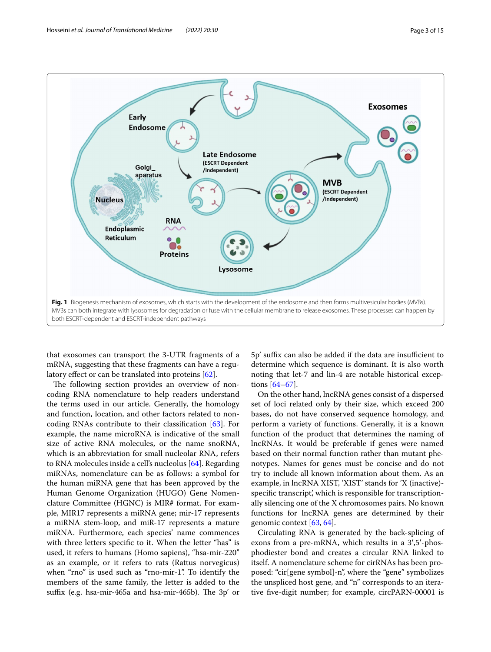

<span id="page-2-0"></span>that exosomes can transport the 3-UTR fragments of a mRNA, suggesting that these fragments can have a regu-latory effect or can be translated into proteins [\[62](#page-11-20)].

The following section provides an overview of noncoding RNA nomenclature to help readers understand the terms used in our article. Generally, the homology and function, location, and other factors related to noncoding RNAs contribute to their classifcation [[63\]](#page-11-21). For example, the name microRNA is indicative of the small size of active RNA molecules, or the name snoRNA, which is an abbreviation for small nucleolar RNA, refers to RNA molecules inside a cell's nucleolus [[64](#page-11-22)]. Regarding miRNAs, nomenclature can be as follows: a symbol for the human miRNA gene that has been approved by the Human Genome Organization (HUGO) Gene Nomenclature Committee (HGNC) is MIR# format. For example, MIR17 represents a miRNA gene; mir-17 represents a miRNA stem-loop, and miR-17 represents a mature miRNA. Furthermore, each species' name commences with three letters specific to it. When the letter "has" is used, it refers to humans (Homo sapiens), "hsa-mir-220" as an example, or it refers to rats (Rattus norvegicus) when "rno" is used such as "rno-mir-1". To identify the members of the same family, the letter is added to the suffix (e.g. hsa-mir-465a and hsa-mir-465b). The 3p' or 5p' suffix can also be added if the data are insufficient to determine which sequence is dominant. It is also worth noting that let-7 and lin-4 are notable historical exceptions [[64](#page-11-22)[–67](#page-11-23)].

On the other hand, lncRNA genes consist of a dispersed set of loci related only by their size, which exceed 200 bases, do not have conserved sequence homology, and perform a variety of functions. Generally, it is a known function of the product that determines the naming of lncRNAs. It would be preferable if genes were named based on their normal function rather than mutant phenotypes. Names for genes must be concise and do not try to include all known information about them. As an example, in lncRNA XIST, 'XIST' stands for 'X (inactive) specific transcript', which is responsible for transcriptionally silencing one of the X chromosomes pairs. No known functions for lncRNA genes are determined by their genomic context [[63,](#page-11-21) [64](#page-11-22)].

Circulating RNA is generated by the back-splicing of exons from a pre-mRNA, which results in a 3′,5′-phosphodiester bond and creates a circular RNA linked to itself. A nomenclature scheme for cirRNAs has been proposed: "cir[gene symbol]-n", where the "gene" symbolizes the unspliced host gene, and "n" corresponds to an iterative fve-digit number; for example, circPARN-00001 is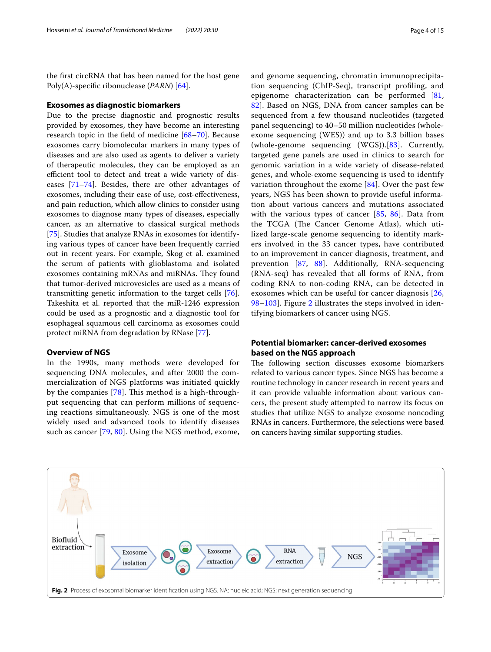the frst circRNA that has been named for the host gene Poly(A)-specifc ribonuclease (*PARN*) [[64](#page-11-22)].

#### **Exosomes as diagnostic biomarkers**

Due to the precise diagnostic and prognostic results provided by exosomes, they have become an interesting research topic in the feld of medicine [[68–](#page-11-24)[70\]](#page-11-25). Because exosomes carry biomolecular markers in many types of diseases and are also used as agents to deliver a variety of therapeutic molecules, they can be employed as an efficient tool to detect and treat a wide variety of diseases [\[71](#page-11-26)[–74\]](#page-11-27). Besides, there are other advantages of exosomes, including their ease of use, cost-efectiveness, and pain reduction, which allow clinics to consider using exosomes to diagnose many types of diseases, especially cancer, as an alternative to classical surgical methods [[75\]](#page-11-28). Studies that analyze RNAs in exosomes for identifying various types of cancer have been frequently carried out in recent years. For example, Skog et al. examined the serum of patients with glioblastoma and isolated exosomes containing mRNAs and miRNAs. They found that tumor-derived microvesicles are used as a means of transmitting genetic information to the target cells [\[76](#page-11-29)]. Takeshita et al. reported that the miR-1246 expression could be used as a prognostic and a diagnostic tool for esophageal squamous cell carcinoma as exosomes could protect miRNA from degradation by RNase [\[77\]](#page-11-30).

#### **Overview of NGS**

In the 1990s, many methods were developed for sequencing DNA molecules, and after 2000 the commercialization of NGS platforms was initiated quickly by the companies  $[78]$  $[78]$ . This method is a high-throughput sequencing that can perform millions of sequencing reactions simultaneously. NGS is one of the most widely used and advanced tools to identify diseases such as cancer [[79,](#page-11-32) [80\]](#page-11-33). Using the NGS method, exome, and genome sequencing, chromatin immunoprecipitation sequencing (ChIP-Seq), transcript profling, and epigenome characterization can be performed [\[81](#page-11-34), [82\]](#page-11-35). Based on NGS, DNA from cancer samples can be sequenced from a few thousand nucleotides (targeted panel sequencing) to 40–50 million nucleotides (wholeexome sequencing (WES)) and up to 3.3 billion bases (whole-genome sequencing  $(WGS)$ ). [\[83](#page-11-36)]. Currently, targeted gene panels are used in clinics to search for genomic variation in a wide variety of disease-related genes, and whole-exome sequencing is used to identify variation throughout the exome [\[84](#page-12-0)]. Over the past few years, NGS has been shown to provide useful information about various cancers and mutations associated with the various types of cancer [\[85,](#page-12-1) [86](#page-12-2)]. Data from the TCGA (The Cancer Genome Atlas), which utilized large-scale genome sequencing to identify markers involved in the 33 cancer types, have contributed to an improvement in cancer diagnosis, treatment, and prevention [\[87,](#page-12-3) [88\]](#page-12-4). Additionally, RNA-sequencing (RNA-seq) has revealed that all forms of RNA, from coding RNA to non-coding RNA, can be detected in exosomes which can be useful for cancer diagnosis [\[26](#page-10-19), [98–](#page-12-5)[103](#page-12-6)]. Figure [2](#page-3-0) illustrates the steps involved in identifying biomarkers of cancer using NGS.

## **Potential biomarker: cancer‑derived exosomes based on the NGS approach**

The following section discusses exosome biomarkers related to various cancer types. Since NGS has become a routine technology in cancer research in recent years and it can provide valuable information about various cancers, the present study attempted to narrow its focus on studies that utilize NGS to analyze exosome noncoding RNAs in cancers. Furthermore, the selections were based on cancers having similar supporting studies.

<span id="page-3-0"></span>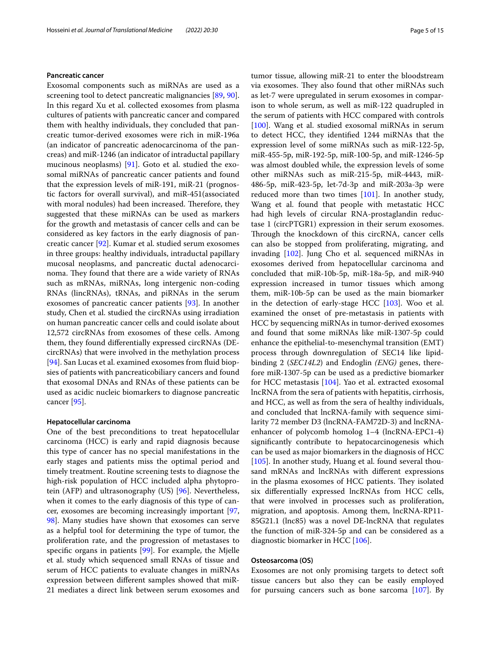#### **Pancreatic cancer**

Exosomal components such as miRNAs are used as a screening tool to detect pancreatic malignancies [[89](#page-12-7), [90](#page-12-8)]. In this regard Xu et al. collected exosomes from plasma cultures of patients with pancreatic cancer and compared them with healthy individuals, they concluded that pancreatic tumor-derived exosomes were rich in miR-196a (an indicator of pancreatic adenocarcinoma of the pancreas) and miR-1246 (an indicator of intraductal papillary mucinous neoplasms) [\[91](#page-12-9)]. Goto et al. studied the exosomal miRNAs of pancreatic cancer patients and found that the expression levels of miR-191, miR-21 (prognostic factors for overall survival), and miR-451(associated with moral nodules) had been increased. Therefore, they suggested that these miRNAs can be used as markers for the growth and metastasis of cancer cells and can be considered as key factors in the early diagnosis of pancreatic cancer [\[92](#page-12-10)]. Kumar et al. studied serum exosomes in three groups: healthy individuals, intraductal papillary mucosal neoplasms, and pancreatic ductal adenocarcinoma. They found that there are a wide variety of RNAs such as mRNAs, miRNAs, long intergenic non-coding RNAs (lincRNAs), tRNAs, and piRNAs in the serum exosomes of pancreatic cancer patients [[93](#page-12-11)]. In another study, Chen et al. studied the circRNAs using irradiation on human pancreatic cancer cells and could isolate about 12,572 circRNAs from exosomes of these cells. Among them, they found diferentially expressed circRNAs (DEcircRNAs) that were involved in the methylation process [[94\]](#page-12-12). San Lucas et al. examined exosomes from fluid biopsies of patients with pancreaticobiliary cancers and found that exosomal DNAs and RNAs of these patients can be used as acidic nucleic biomarkers to diagnose pancreatic cancer [\[95](#page-12-13)].

#### **Hepatocellular carcinoma**

One of the best preconditions to treat hepatocellular carcinoma (HCC) is early and rapid diagnosis because this type of cancer has no special manifestations in the early stages and patients miss the optimal period and timely treatment. Routine screening tests to diagnose the high-risk population of HCC included alpha phytoprotein (AFP) and ultrasonography (US) [[96\]](#page-12-14). Nevertheless, when it comes to the early diagnosis of this type of cancer, exosomes are becoming increasingly important [\[97](#page-12-15), [98\]](#page-12-5). Many studies have shown that exosomes can serve as a helpful tool for determining the type of tumor, the proliferation rate, and the progression of metastases to specifc organs in patients [[99](#page-12-16)]. For example, the Mjelle et al. study which sequenced small RNAs of tissue and serum of HCC patients to evaluate changes in miRNAs expression between diferent samples showed that miR-21 mediates a direct link between serum exosomes and tumor tissue, allowing miR-21 to enter the bloodstream via exosomes. They also found that other miRNAs such as let-7 were upregulated in serum exosomes in comparison to whole serum, as well as miR-122 quadrupled in the serum of patients with HCC compared with controls [[100\]](#page-12-17). Wang et al. studied exosomal miRNAs in serum to detect HCC, they identifed 1244 miRNAs that the expression level of some miRNAs such as miR-122-5p, miR-455-5p, miR-192-5p, miR-100-5p, and miR-1246-5p was almost doubled while, the expression levels of some other miRNAs such as miR-215-5p, miR-4443, miR-486-5p, miR-423-5p, let-7d-3p and miR-203a-3p were reduced more than two times  $[101]$  $[101]$ . In another study, Wang et al. found that people with metastatic HCC had high levels of circular RNA-prostaglandin reductase 1 (circPTGR1) expression in their serum exosomes. Through the knockdown of this circRNA, cancer cells can also be stopped from proliferating, migrating, and invading [[102](#page-12-19)]. Jung Cho et al. sequenced miRNAs in exosomes derived from hepatocellular carcinoma and concluded that miR-10b-5p, miR-18a-5p, and miR-940 expression increased in tumor tissues which among them, miR-10b-5p can be used as the main biomarker in the detection of early-stage HCC  $[103]$ . Woo et al. examined the onset of pre-metastasis in patients with HCC by sequencing miRNAs in tumor-derived exosomes and found that some miRNAs like miR-1307-5p could enhance the epithelial-to-mesenchymal transition (EMT) process through downregulation of SEC14 like lipidbinding 2 (*SEC14L2*) and Endoglin *(ENG)* genes, therefore miR-1307-5p can be used as a predictive biomarker for HCC metastasis [\[104](#page-12-20)]. Yao et al. extracted exosomal lncRNA from the sera of patients with hepatitis, cirrhosis, and HCC, as well as from the sera of healthy individuals, and concluded that lncRNA-family with sequence similarity 72 member D3 (lncRNA-FAM72D-3) and lncRNAenhancer of polycomb homolog 1–4 (lncRNA-EPC1-4) signifcantly contribute to hepatocarcinogenesis which can be used as major biomarkers in the diagnosis of HCC [[105\]](#page-12-21). In another study, Huang et al. found several thousand mRNAs and lncRNAs with diferent expressions in the plasma exosomes of HCC patients. They isolated six diferentially expressed lncRNAs from HCC cells, that were involved in processes such as proliferation, migration, and apoptosis. Among them, lncRNA-RP11- 85G21.1 (lnc85) was a novel DE‐lncRNA that regulates the function of miR-324-5p and can be considered as a diagnostic biomarker in HCC [[106\]](#page-12-22).

#### **Osteosarcoma (OS)**

Exosomes are not only promising targets to detect soft tissue cancers but also they can be easily employed for pursuing cancers such as bone sarcoma [\[107\]](#page-12-23). By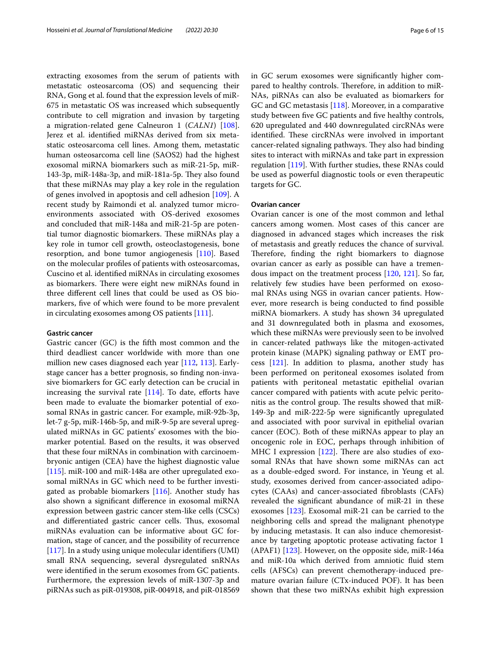extracting exosomes from the serum of patients with metastatic osteosarcoma (OS) and sequencing their RNA, Gong et al. found that the expression levels of miR-675 in metastatic OS was increased which subsequently contribute to cell migration and invasion by targeting a migration-related gene Calneuron 1 (*CALN1*) [\[108](#page-12-24)]. Jerez et al. identifed miRNAs derived from six metastatic osteosarcoma cell lines. Among them, metastatic human osteosarcoma cell line (SAOS2) had the highest exosomal miRNA biomarkers such as miR-21-5p, miR-143-3p, miR-148a-3p, and miR-181a-5p. They also found that these miRNAs may play a key role in the regulation of genes involved in apoptosis and cell adhesion [[109](#page-12-25)]. A recent study by Raimondi et al. analyzed tumor microenvironments associated with OS-derived exosomes and concluded that miR-148a and miR-21-5p are potential tumor diagnostic biomarkers. These miRNAs play a key role in tumor cell growth, osteoclastogenesis, bone resorption, and bone tumor angiogenesis [\[110](#page-12-26)]. Based on the molecular profles of patients with osteosarcomas, Cuscino et al. identifed miRNAs in circulating exosomes as biomarkers. There were eight new miRNAs found in three diferent cell lines that could be used as OS biomarkers, fve of which were found to be more prevalent in circulating exosomes among OS patients [[111](#page-12-27)].

## **Gastric cancer**

Gastric cancer (GC) is the ffth most common and the third deadliest cancer worldwide with more than one million new cases diagnosed each year [[112,](#page-12-28) [113\]](#page-12-29). Earlystage cancer has a better prognosis, so fnding non-invasive biomarkers for GC early detection can be crucial in increasing the survival rate  $[114]$  $[114]$ . To date, efforts have been made to evaluate the biomarker potential of exosomal RNAs in gastric cancer. For example, miR-92b-3p, let-7 g-5p, miR-146b-5p, and miR-9-5p are several upregulated miRNAs in GC patients' exosomes with the biomarker potential. Based on the results, it was observed that these four miRNAs in combination with carcinoembryonic antigen (CEA) have the highest diagnostic value [[115\]](#page-12-31). miR-100 and miR-148a are other upregulated exosomal miRNAs in GC which need to be further investigated as probable biomarkers [\[116](#page-12-32)]. Another study has also shown a signifcant diference in exosomal miRNA expression between gastric cancer stem-like cells (CSCs) and differentiated gastric cancer cells. Thus, exosomal miRNAs evaluation can be informative about GC formation, stage of cancer, and the possibility of recurrence [[117\]](#page-12-33). In a study using unique molecular identifers (UMI) small RNA sequencing, several dysregulated snRNAs were identifed in the serum exosomes from GC patients. Furthermore, the expression levels of miR-1307-3p and piRNAs such as piR-019308, piR-004918, and piR-018569 in GC serum exosomes were signifcantly higher compared to healthy controls. Therefore, in addition to miR-NAs, piRNAs can also be evaluated as biomarkers for GC and GC metastasis [[118\]](#page-12-34). Moreover, in a comparative study between fve GC patients and fve healthy controls, 620 upregulated and 440 downregulated circRNAs were identified. These circRNAs were involved in important cancer-related signaling pathways. They also had binding sites to interact with miRNAs and take part in expression regulation [\[119](#page-12-35)]. With further studies, these RNAs could be used as powerful diagnostic tools or even therapeutic targets for GC.

#### **Ovarian cancer**

Ovarian cancer is one of the most common and lethal cancers among women. Most cases of this cancer are diagnosed in advanced stages which increases the risk of metastasis and greatly reduces the chance of survival. Therefore, finding the right biomarkers to diagnose ovarian cancer as early as possible can have a tremendous impact on the treatment process [\[120,](#page-12-36) [121\]](#page-12-37). So far, relatively few studies have been performed on exosomal RNAs using NGS in ovarian cancer patients. However, more research is being conducted to fnd possible miRNA biomarkers. A study has shown 34 upregulated and 31 downregulated both in plasma and exosomes, which these miRNAs were previously seen to be involved in cancer-related pathways like the mitogen-activated protein kinase (MAPK) signaling pathway or EMT process  $[121]$  $[121]$ . In addition to plasma, another study has been performed on peritoneal exosomes isolated from patients with peritoneal metastatic epithelial ovarian cancer compared with patients with acute pelvic peritonitis as the control group. The results showed that miR-149-3p and miR-222-5p were signifcantly upregulated and associated with poor survival in epithelial ovarian cancer (EOC). Both of these miRNAs appear to play an oncogenic role in EOC, perhaps through inhibition of MHC I expression  $[122]$  $[122]$ . There are also studies of exosomal RNAs that have shown some miRNAs can act as a double-edged sword. For instance, in Yeung et al. study, exosomes derived from cancer-associated adipocytes (CAAs) and cancer-associated fbroblasts (CAFs) revealed the signifcant abundance of miR-21 in these exosomes [[123\]](#page-12-39). Exosomal miR-21 can be carried to the neighboring cells and spread the malignant phenotype by inducing metastasis. It can also induce chemoresistance by targeting apoptotic protease activating factor 1 (APAF1) [\[123\]](#page-12-39). However, on the opposite side, miR-146a and miR-10a which derived from amniotic fuid stem cells (AFSCs) can prevent chemotherapy-induced premature ovarian failure (CTx-induced POF). It has been shown that these two miRNAs exhibit high expression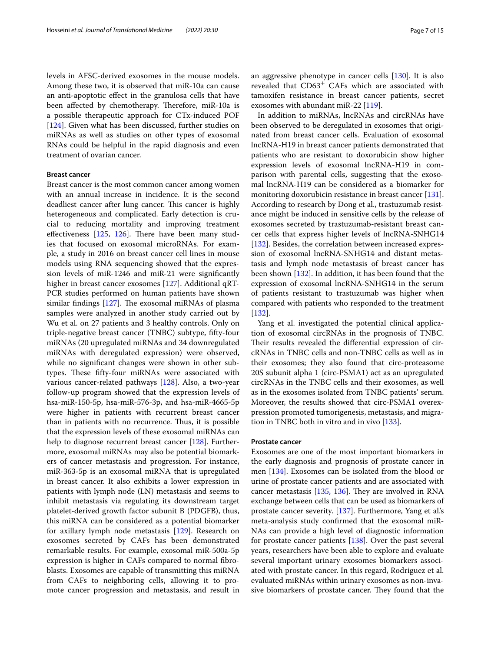levels in AFSC-derived exosomes in the mouse models. Among these two, it is observed that miR-10a can cause an anti-apoptotic efect in the granulosa cells that have been affected by chemotherapy. Therefore, miR-10a is a possible therapeutic approach for CTx-induced POF [[124\]](#page-12-40). Given what has been discussed, further studies on miRNAs as well as studies on other types of exosomal RNAs could be helpful in the rapid diagnosis and even treatment of ovarian cancer.

#### **Breast cancer**

Breast cancer is the most common cancer among women with an annual increase in incidence. It is the second deadliest cancer after lung cancer. This cancer is highly heterogeneous and complicated. Early detection is crucial to reducing mortality and improving treatment effectiveness  $[125, 126]$  $[125, 126]$  $[125, 126]$  $[125, 126]$ . There have been many studies that focused on exosomal microRNAs. For example, a study in 2016 on breast cancer cell lines in mouse models using RNA sequencing showed that the expression levels of miR-1246 and miR-21 were signifcantly higher in breast cancer exosomes [\[127](#page-12-43)]. Additional qRT-PCR studies performed on human patients have shown similar findings  $[127]$  $[127]$ . The exosomal miRNAs of plasma samples were analyzed in another study carried out by Wu et al. on 27 patients and 3 healthy controls. Only on triple-negative breast cancer (TNBC) subtype, ffty-four miRNAs (20 upregulated miRNAs and 34 downregulated miRNAs with deregulated expression) were observed, while no signifcant changes were shown in other subtypes. These fifty-four miRNAs were associated with various cancer-related pathways [\[128](#page-13-0)]. Also, a two-year follow-up program showed that the expression levels of hsa-miR-150-5p, hsa-miR-576-3p, and hsa-miR-4665-5p were higher in patients with recurrent breast cancer than in patients with no recurrence. Thus, it is possible that the expression levels of these exosomal miRNAs can help to diagnose recurrent breast cancer [[128\]](#page-13-0). Furthermore, exosomal miRNAs may also be potential biomarkers of cancer metastasis and progression. For instance, miR-363-5p is an exosomal miRNA that is upregulated in breast cancer. It also exhibits a lower expression in patients with lymph node (LN) metastasis and seems to inhibit metastasis via regulating its downstream target platelet-derived growth factor subunit B (PDGFB), thus, this miRNA can be considered as a potential biomarker for axillary lymph node metastasis [[129](#page-13-1)]. Research on exosomes secreted by CAFs has been demonstrated remarkable results. For example, exosomal miR-500a-5p expression is higher in CAFs compared to normal fbroblasts. Exosomes are capable of transmitting this miRNA from CAFs to neighboring cells, allowing it to promote cancer progression and metastasis, and result in

In addition to miRNAs, lncRNAs and circRNAs have been observed to be deregulated in exosomes that originated from breast cancer cells. Evaluation of exosomal lncRNA-H19 in breast cancer patients demonstrated that patients who are resistant to doxorubicin show higher expression levels of exosomal lncRNA-H19 in comparison with parental cells, suggesting that the exosomal lncRNA-H19 can be considered as a biomarker for monitoring doxorubicin resistance in breast cancer [\[131](#page-13-3)]. According to research by Dong et al., trastuzumab resistance might be induced in sensitive cells by the release of exosomes secreted by trastuzumab-resistant breast cancer cells that express higher levels of lncRNA-SNHG14 [[132\]](#page-13-4). Besides, the correlation between increased expression of exosomal lncRNA-SNHG14 and distant metastasis and lymph node metastasis of breast cancer has been shown [[132](#page-13-4)]. In addition, it has been found that the expression of exosomal lncRNA-SNHG14 in the serum of patients resistant to trastuzumab was higher when compared with patients who responded to the treatment [[132\]](#page-13-4).

Yang et al. investigated the potential clinical application of exosomal circRNAs in the prognosis of TNBC. Their results revealed the differential expression of circRNAs in TNBC cells and non-TNBC cells as well as in their exosomes; they also found that circ-proteasome 20S subunit alpha 1 (circ-PSMA1) act as an upregulated circRNAs in the TNBC cells and their exosomes, as well as in the exosomes isolated from TNBC patients' serum. Moreover, the results showed that circ-PSMA1 overexpression promoted tumorigenesis, metastasis, and migration in TNBC both in vitro and in vivo [[133\]](#page-13-5).

#### **Prostate cancer**

Exosomes are one of the most important biomarkers in the early diagnosis and prognosis of prostate cancer in men [\[134](#page-13-6)]. Exosomes can be isolated from the blood or urine of prostate cancer patients and are associated with cancer metastasis  $[135, 136]$  $[135, 136]$  $[135, 136]$ . They are involved in RNA exchange between cells that can be used as biomarkers of prostate cancer severity. [[137\]](#page-13-9). Furthermore, Yang et al.'s meta-analysis study confrmed that the exosomal miR-NAs can provide a high level of diagnostic information for prostate cancer patients [[138\]](#page-13-10). Over the past several years, researchers have been able to explore and evaluate several important urinary exosomes biomarkers associated with prostate cancer. In this regard, Rodriguez et al. evaluated miRNAs within urinary exosomes as non-invasive biomarkers of prostate cancer. They found that the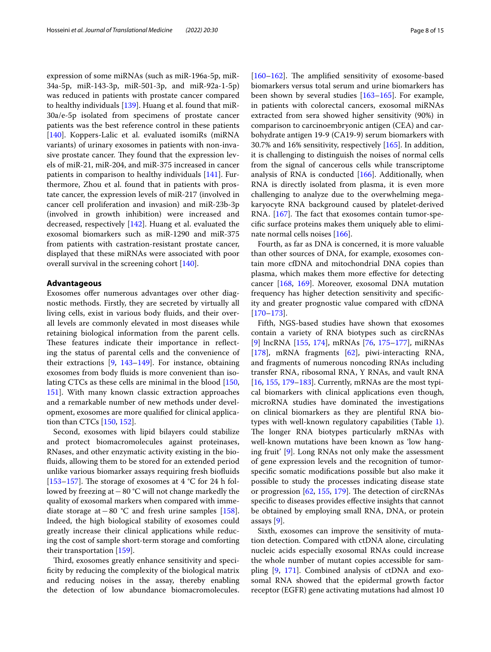expression of some miRNAs (such as miR-196a-5p, miR-34a-5p, miR-143-3p, miR-501-3p, and miR-92a-1-5p) was reduced in patients with prostate cancer compared to healthy individuals [\[139](#page-13-11)]. Huang et al. found that miR-30a/e-5p isolated from specimens of prostate cancer patients was the best reference control in these patients [[140\]](#page-13-12). Koppers-Lalic et al. evaluated isomiRs (miRNA variants) of urinary exosomes in patients with non-invasive prostate cancer. They found that the expression levels of miR-21, miR-204, and miR-375 increased in cancer patients in comparison to healthy individuals [\[141\]](#page-13-13). Furthermore, Zhou et al. found that in patients with prostate cancer, the expression levels of miR-217 (involved in cancer cell proliferation and invasion) and miR-23b-3p (involved in growth inhibition) were increased and decreased, respectively [[142\]](#page-13-14). Huang et al. evaluated the exosomal biomarkers such as miR-1290 and miR-375 from patients with castration-resistant prostate cancer, displayed that these miRNAs were associated with poor overall survival in the screening cohort [[140\]](#page-13-12).

#### **Advantageous**

Exosomes offer numerous advantages over other diagnostic methods. Firstly, they are secreted by virtually all living cells, exist in various body fuids, and their overall levels are commonly elevated in most diseases while retaining biological information from the parent cells. These features indicate their importance in reflecting the status of parental cells and the convenience of their extractions [\[9](#page-10-5), [143](#page-13-15)–[149\]](#page-13-16). For instance, obtaining exosomes from body fuids is more convenient than isolating CTCs as these cells are minimal in the blood [[150](#page-13-17), [151](#page-13-18)]. With many known classic extraction approaches and a remarkable number of new methods under development, exosomes are more qualifed for clinical application than CTCs [[150](#page-13-17), [152\]](#page-13-19).

Second, exosomes with lipid bilayers could stabilize and protect biomacromolecules against proteinases, RNases, and other enzymatic activity existing in the biofuids, allowing them to be stored for an extended period unlike various biomarker assays requiring fresh biofuids [[153–](#page-13-20)[157](#page-13-21)]. The storage of exosomes at  $4 °C$  for 24 h followed by freezing at−80 °C will not change markedly the quality of exosomal markers when compared with immediate storage at−80 °C and fresh urine samples [\[158](#page-13-22)]. Indeed, the high biological stability of exosomes could greatly increase their clinical applications while reducing the cost of sample short-term storage and comforting their transportation [\[159\]](#page-13-23).

Third, exosomes greatly enhance sensitivity and specificity by reducing the complexity of the biological matrix and reducing noises in the assay, thereby enabling the detection of low abundance biomacromolecules.

 $[160-162]$  $[160-162]$  $[160-162]$ . The amplified sensitivity of exosome-based biomarkers versus total serum and urine biomarkers has been shown by several studies [[163–](#page-13-26)[165](#page-13-27)]. For example, in patients with colorectal cancers, exosomal miRNAs extracted from sera showed higher sensitivity (90%) in comparison to carcinoembryonic antigen (CEA) and carbohydrate antigen 19-9 (CA19-9) serum biomarkers with

30.7% and 16% sensitivity, respectively [\[165\]](#page-13-27). In addition, it is challenging to distinguish the noises of normal cells from the signal of cancerous cells while transcriptome analysis of RNA is conducted [\[166](#page-13-28)]. Additionally, when RNA is directly isolated from plasma, it is even more challenging to analyze due to the overwhelming megakaryocyte RNA background caused by platelet-derived RNA. [[167](#page-13-29)]. The fact that exosomes contain tumor-specifc surface proteins makes them uniquely able to eliminate normal cells noises [\[166](#page-13-28)].

Fourth, as far as DNA is concerned, it is more valuable than other sources of DNA, for example, exosomes contain more cfDNA and mitochondrial DNA copies than plasma, which makes them more efective for detecting cancer [\[168](#page-13-30), [169\]](#page-13-31). Moreover, exosomal DNA mutation frequency has higher detection sensitivity and specifcity and greater prognostic value compared with cfDNA [[170–](#page-13-32)[173](#page-14-0)].

Fifth, NGS-based studies have shown that exosomes contain a variety of RNA biotypes such as circRNAs [[9\]](#page-10-5) lncRNA [\[155](#page-13-33), [174\]](#page-14-1), mRNAs [\[76,](#page-11-29) [175–](#page-14-2)[177](#page-14-3)], miRNAs [[178\]](#page-14-4), mRNA fragments [\[62](#page-11-20)], piwi-interacting RNA, and fragments of numerous noncoding RNAs including transfer RNA, ribosomal RNA, Y RNAs, and vault RNA [[16,](#page-10-11) [155](#page-13-33), [179](#page-14-5)–[183\]](#page-14-6). Currently, mRNAs are the most typical biomarkers with clinical applications even though, microRNA studies have dominated the investigations on clinical biomarkers as they are plentiful RNA biotypes with well-known regulatory capabilities (Table [1](#page-8-0)). The longer RNA biotypes particularly mRNAs with well-known mutations have been known as 'low hanging fruit' [[9](#page-10-5)]. Long RNAs not only make the assessment of gene expression levels and the recognition of tumorspecifc somatic modifcations possible but also make it possible to study the processes indicating disease state or progression  $[62, 155, 179]$  $[62, 155, 179]$  $[62, 155, 179]$  $[62, 155, 179]$  $[62, 155, 179]$  $[62, 155, 179]$ . The detection of circRNAs specifc to diseases provides efective insights that cannot be obtained by employing small RNA, DNA, or protein assays [\[9\]](#page-10-5).

Sixth, exosomes can improve the sensitivity of mutation detection. Compared with ctDNA alone, circulating nucleic acids especially exosomal RNAs could increase the whole number of mutant copies accessible for sampling [\[9](#page-10-5), [171\]](#page-13-34). Combined analysis of ctDNA and exosomal RNA showed that the epidermal growth factor receptor (EGFR) gene activating mutations had almost 10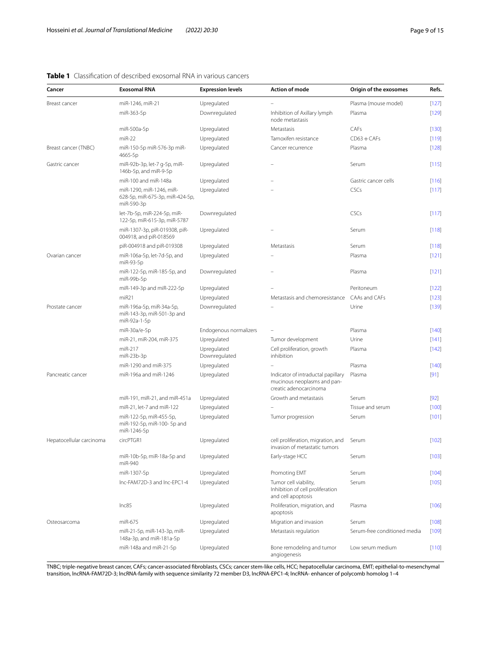## <span id="page-8-0"></span>**Table 1** Classifcation of described exosomal RNA in various cancers

| Cancer                   | <b>Exosomal RNA</b>                                                       | <b>Expression levels</b>     | <b>Action of mode</b>                                                                       | Origin of the exosomes       | Refs.   |
|--------------------------|---------------------------------------------------------------------------|------------------------------|---------------------------------------------------------------------------------------------|------------------------------|---------|
| Breast cancer            | miR-1246, miR-21                                                          | Upregulated                  |                                                                                             | Plasma (mouse model)         | $[127]$ |
|                          | miR-363-5p                                                                | Downregulated                | Inhibition of Axillary lymph<br>node metastasis                                             | Plasma                       | $[129]$ |
|                          | miR-500a-5p                                                               | Upregulated                  | Metastasis                                                                                  | CAFs                         | $[130]$ |
|                          | $miR-22$                                                                  | Upregulated                  | Tamoxifen resistance                                                                        | $CD63 + CAFs$                | $[119]$ |
| Breast cancer (TNBC)     | miR-150-5p miR-576-3p miR-<br>4665-5p                                     | Upregulated                  | Cancer recurrence                                                                           | Plasma                       | [128]   |
| Gastric cancer           | miR-92b-3p, let-7 g-5p, miR-<br>146b-5p, and miR-9-5p                     | Upregulated                  |                                                                                             | Serum                        | $[115]$ |
|                          | miR-100 and miR-148a                                                      | Upregulated                  |                                                                                             | Gastric cancer cells         | [116]   |
|                          | miR-1290, miR-1246, miR-<br>628-5p, miR-675-3p, miR-424-5p,<br>miR-590-3p | Upregulated                  |                                                                                             | CSCs                         | [117]   |
|                          | let-7b-5p, miR-224-5p, miR-<br>122-5p, miR-615-3p, miR-5787               | Downregulated                |                                                                                             | CSCs                         | [117]   |
|                          | miR-1307-3p, piR-019308, piR-<br>004918, and piR-018569                   | Upregulated                  |                                                                                             | Serum                        | [118]   |
|                          | piR-004918 and piR-019308                                                 | Upregulated                  | Metastasis                                                                                  | Serum                        | $[118]$ |
| Ovarian cancer           | miR-106a-5p, let-7d-5p, and<br>miR-93-5p                                  | Upregulated                  |                                                                                             | Plasma                       | $[121]$ |
|                          | miR-122-5p, miR-185-5p, and<br>miR-99b-5p                                 | Downregulated                |                                                                                             | Plasma                       | [121]   |
|                          | miR-149-3p and miR-222-5p                                                 | Upregulated                  |                                                                                             | Peritoneum                   | $[122]$ |
|                          | miR <sub>21</sub>                                                         | Upregulated                  | Metastasis and chemoresistance                                                              | CAAs and CAFs                | $[123]$ |
| Prostate cancer          | miR-196a-5p, miR-34a-5p,<br>miR-143-3p, miR-501-3p and<br>miR-92a-1-5p    | Downregulated                |                                                                                             | Urine                        | [139]   |
|                          | miR-30a/e-5p                                                              | Endogenous normalizers       |                                                                                             | Plasma                       | $[140]$ |
|                          | miR-21, miR-204, miR-375                                                  | Upregulated                  | Tumor development                                                                           | Urine                        | $[141]$ |
|                          | miR-217<br>miR-23b-3p                                                     | Upregulated<br>Downregulated | Cell proliferation, growth<br>inhibition                                                    | Plasma                       | $[142]$ |
|                          | miR-1290 and miR-375                                                      | Upregulated                  |                                                                                             | Plasma                       | $[140]$ |
| Pancreatic cancer        | miR-196a and miR-1246                                                     | Upregulated                  | Indicator of intraductal papillary<br>mucinous neoplasms and pan-<br>creatic adenocarcinoma | Plasma                       | $[91]$  |
|                          | miR-191, miR-21, and miR-451a                                             | Upregulated                  | Growth and metastasis                                                                       | Serum                        | $[92]$  |
|                          | miR-21, let-7 and miR-122                                                 | Upregulated                  |                                                                                             | Tissue and serum             | [100]   |
|                          | miR-122-5p, miR-455-5p,<br>miR-192-5p, miR-100-5p and<br>miR-1246-5p      | Upregulated                  | Tumor progression                                                                           | Serum                        | [101]   |
| Hepatocellular carcinoma | circPTGR1                                                                 | Upregulated                  | cell proliferation, migration, and<br>invasion of metastatic tumors                         | Serum                        | $[102]$ |
|                          | miR-10b-5p, miR-18a-5p and<br>miR-940                                     | Upregulated                  | Early-stage HCC                                                                             | Serum                        | [103]   |
|                          | miR-1307-5p                                                               | Upregulated                  | Promoting EMT                                                                               | Serum                        | $[104]$ |
|                          | Inc-FAM72D-3 and Inc-EPC1-4                                               | Upregulated                  | Tumor cell viability,<br>Inhibition of cell proliferation<br>and cell apoptosis             | Serum                        | $[105]$ |
|                          | lnc85                                                                     | Upregulated                  | Proliferation, migration, and<br>apoptosis                                                  | Plasma                       | [106]   |
| Osteosarcoma             | miR-675                                                                   | Upregulated                  | Migration and invasion                                                                      | Serum                        | $[108]$ |
|                          | miR-21-5p, miR-143-3p, miR-<br>148a-3p, and miR-181a-5p                   | Upregulated                  | Metastasis regulation                                                                       | Serum-free conditioned media | $[109]$ |
|                          | miR-148a and miR-21-5p                                                    | Upregulated                  | Bone remodeling and tumor<br>angiogenesis                                                   | Low serum medium             | $[110]$ |

TNBC; triple-negative breast cancer, CAFs; cancer-associated fbroblasts, CSCs; cancer stem-like cells, HCC; hepatocellular carcinoma, EMT; epithelial-to-mesenchymal transition, lncRNA-FAM72D-3; lncRNA-family with sequence similarity 72 member D3, lncRNA-EPC1-4; lncRNA- enhancer of polycomb homolog 1–4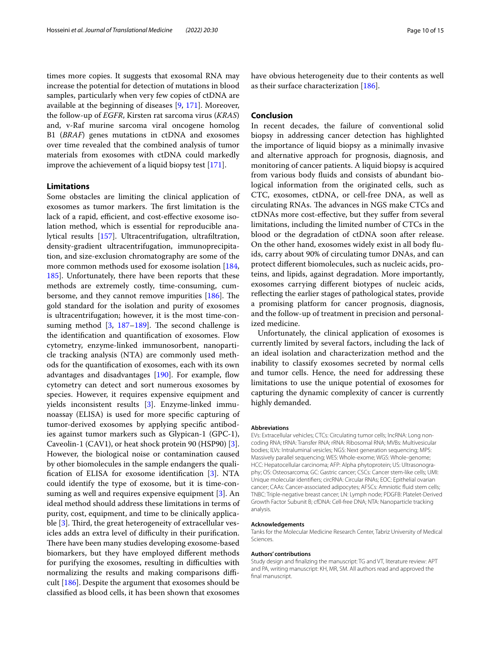times more copies. It suggests that exosomal RNA may increase the potential for detection of mutations in blood samples, particularly when very few copies of ctDNA are available at the beginning of diseases [\[9](#page-10-5), [171](#page-13-34)]. Moreover, the follow-up of *EGFR*, Kirsten rat sarcoma virus (*KRAS*) and, v-Raf murine sarcoma viral oncogene homolog B1 (*BRAF*) genes mutations in ctDNA and exosomes over time revealed that the combined analysis of tumor materials from exosomes with ctDNA could markedly improve the achievement of a liquid biopsy test [[171](#page-13-34)].

#### **Limitations**

Some obstacles are limiting the clinical application of exosomes as tumor markers. The first limitation is the lack of a rapid, efficient, and cost-effective exosome isolation method, which is essential for reproducible analytical results [[157](#page-13-21)]. Ultracentrifugation, ultrafltration, density-gradient ultracentrifugation, immunoprecipitation, and size-exclusion chromatography are some of the more common methods used for exosome isolation [[184](#page-14-7), [185](#page-14-8)]. Unfortunately, there have been reports that these methods are extremely costly, time-consuming, cumbersome, and they cannot remove impurities  $[186]$  $[186]$  $[186]$ . The gold standard for the isolation and purity of exosomes is ultracentrifugation; however, it is the most time-consuming method  $[3, 187-189]$  $[3, 187-189]$  $[3, 187-189]$  $[3, 187-189]$  $[3, 187-189]$ . The second challenge is the identifcation and quantifcation of exosomes. Flow cytometry, enzyme-linked immunosorbent, nanoparticle tracking analysis (NTA) are commonly used methods for the quantifcation of exosomes, each with its own advantages and disadvantages  $[190]$  $[190]$ . For example, flow cytometry can detect and sort numerous exosomes by species. However, it requires expensive equipment and yields inconsistent results [\[3](#page-10-1)]. Enzyme-linked immunoassay (ELISA) is used for more specifc capturing of tumor-derived exosomes by applying specifc antibodies against tumor markers such as Glypican-1 (GPC-1), Caveolin-1 (CAV1), or heat shock protein 90 (HSP90) [\[3](#page-10-1)]. However, the biological noise or contamination caused by other biomolecules in the sample endangers the qualifcation of ELISA for exosome identifcation [[3\]](#page-10-1). NTA could identify the type of exosome, but it is time-consuming as well and requires expensive equipment [\[3](#page-10-1)]. An ideal method should address these limitations in terms of purity, cost, equipment, and time to be clinically applicable  $[3]$  $[3]$ . Third, the great heterogeneity of extracellular vesicles adds an extra level of difficulty in their purification. There have been many studies developing exosome-based biomarkers, but they have employed diferent methods for purifying the exosomes, resulting in difficulties with normalizing the results and making comparisons difficult [[186\]](#page-14-9). Despite the argument that exosomes should be classifed as blood cells, it has been shown that exosomes have obvious heterogeneity due to their contents as well as their surface characterization [[186](#page-14-9)].

## **Conclusion**

In recent decades, the failure of conventional solid biopsy in addressing cancer detection has highlighted the importance of liquid biopsy as a minimally invasive and alternative approach for prognosis, diagnosis, and monitoring of cancer patients. A liquid biopsy is acquired from various body fuids and consists of abundant biological information from the originated cells, such as CTC, exosomes, ctDNA, or cell-free DNA, as well as circulating RNAs. The advances in NGS make CTCs and ctDNAs more cost-efective, but they sufer from several limitations, including the limited number of CTCs in the blood or the degradation of ctDNA soon after release. On the other hand, exosomes widely exist in all body fuids, carry about 90% of circulating tumor DNAs, and can protect diferent biomolecules, such as nucleic acids, proteins, and lipids, against degradation. More importantly, exosomes carrying diferent biotypes of nucleic acids, refecting the earlier stages of pathological states, provide a promising platform for cancer prognosis, diagnosis, and the follow-up of treatment in precision and personalized medicine.

Unfortunately, the clinical application of exosomes is currently limited by several factors, including the lack of an ideal isolation and characterization method and the inability to classify exosomes secreted by normal cells and tumor cells. Hence, the need for addressing these limitations to use the unique potential of exosomes for capturing the dynamic complexity of cancer is currently highly demanded.

#### **Abbreviations**

EVs: Extracellular vehicles; CTCs: Circulating tumor cells; lncRNA: Long noncoding RNA; tRNA: Transfer RNA; rRNA: Ribosomal RNA; MVBs: Multivesicular bodies; ILVs: Intraluminal vesicles; NGS: Next generation sequencing; MPS: Massively parallel sequencing; WES: Whole-exome; WGS: Whole-genome; HCC: Hepatocellular carcinoma; AFP: Alpha phytoprotein; US: Ultrasonography; OS: Osteosarcoma; GC: Gastric cancer; CSCs: Cancer stem-like cells; UMI: Unique molecular identifers; circRNA: Circular RNAs; EOC: Epithelial ovarian cancer; CAAs: Cancer-associated adipocytes; AFSCs: Amniotic fuid stem cells; TNBC: Triple-negative breast cancer; LN: Lymph node; PDGFB: Platelet-Derived Growth Factor Subunit B; cfDNA: Cell-free DNA; NTA: Nanoparticle tracking analysis.

#### **Acknowledgements**

Tanks for the Molecular Medicine Research Center, Tabriz University of Medical Sciences.

#### **Authors' contributions**

Study design and fnalizing the manuscript: TG and VT, literature review: APT and PA, writing manuscript: KH, MR, SM. All authors read and approved the final manuscript.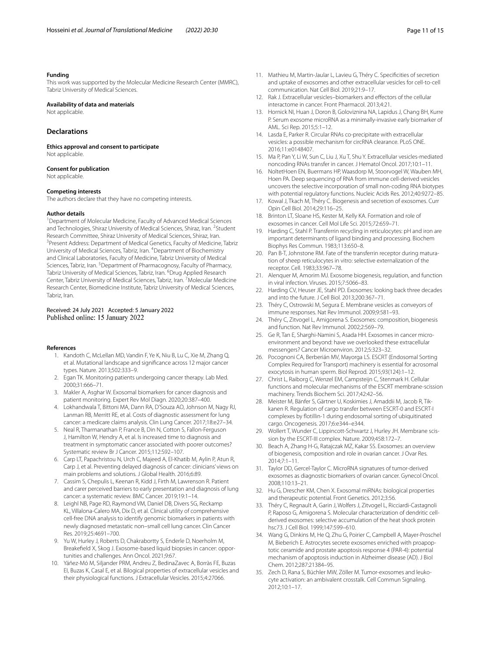#### **Funding**

This work was supported by the Molecular Medicine Research Center (MMRC), Tabriz University of Medical Sciences.

## **Availability of data and materials**

Not applicable.

## **Declarations**

**Ethics approval and consent to participate** Not applicable.

#### **Consent for publication**

Not applicable.

#### **Competing interests**

The authors declare that they have no competing interests.

#### **Author details**

<sup>1</sup> Department of Molecular Medicine, Faculty of Advanced Medical Sciences and Technologies, Shiraz University of Medical Sciences, Shiraz, Iran. <sup>2</sup>Student Research Committee, Shiraz University of Medical Sciences, Shiraz, Iran. 3 <sup>3</sup> Present Address: Department of Medical Genetics, Faculty of Medicine, Tabriz University of Medical Sciences, Tabriz, Iran. <sup>4</sup> Department of Biochemistry and Clinical Laboratories, Faculty of Medicine, Tabriz University of Medical Sciences, Tabriz, Iran. <sup>5</sup> Department of Pharmacognosy, Faculty of Pharmacy, Tabriz University of Medical Sciences, Tabriz, Iran. <sup>6</sup>Drug Applied Research Center, Tabriz University of Medical Sciences, Tabriz, Iran. <sup>7</sup> Molecular Medicine Research Center, Biomedicine Institute, Tabriz University of Medical Sciences, Tabriz, Iran.

#### Received: 24 July 2021 Accepted: 5 January 2022 Published online: 15 January 2022

#### <span id="page-10-0"></span>**References**

- 1. Kandoth C, McLellan MD, Vandin F, Ye K, Niu B, Lu C, Xie M, Zhang Q, et al. Mutational landscape and signifcance across 12 major cancer types. Nature. 2013;502:333–9.
- 2. Egan TK. Monitoring patients undergoing cancer therapy. Lab Med. 2000;31:666–71.
- <span id="page-10-1"></span>3. Makler A, Asghar W. Exosomal biomarkers for cancer diagnosis and patient monitoring. Expert Rev Mol Diagn. 2020;20:387–400.
- <span id="page-10-2"></span>4. Lokhandwala T, Bittoni MA, Dann RA, D'Souza AO, Johnson M, Nagy RJ, Lanman RB, Merritt RE, et al. Costs of diagnostic assessment for lung cancer: a medicare claims analysis. Clin Lung Cancer. 2017;18:e27–34.
- 5. Neal R, Tharmanathan P, France B, Din N, Cotton S, Fallon-Ferguson J, Hamilton W, Hendry A, et al. Is increased time to diagnosis and treatment in symptomatic cancer associated with poorer outcomes? Systematic review Br J Cancer. 2015;112:S92–107.
- 6. Carp LT, Papachristou N, Urch C, Majeed A, El-Khatib M, Aylin P, Atun R, Carp J, et al. Preventing delayed diagnosis of cancer: clinicians' views on main problems and solutions. J Global Health. 2016;6:89.
- <span id="page-10-3"></span>7. Cassim S, Chepulis L, Keenan R, Kidd J, Firth M, Lawrenson R. Patient and carer perceived barriers to early presentation and diagnosis of lung cancer: a systematic review. BMC Cancer. 2019;19:1–14.
- <span id="page-10-4"></span>Leighl NB, Page RD, Raymond VM, Daniel DB, Divers SG, Reckamp KL, Villalona-Calero MA, Dix D, et al. Clinical utility of comprehensive cell-free DNA analysis to identify genomic biomarkers in patients with newly diagnosed metastatic non–small cell lung cancer. Clin Cancer Res. 2019;25:4691–700.
- <span id="page-10-5"></span>9. Yu W, Hurley J, Roberts D, Chakrabortty S, Enderle D, Noerholm M, Breakefeld X, Skog J. Exosome-based liquid biopsies in cancer: opportunities and challenges. Ann Oncol. 2021;9:67.
- <span id="page-10-6"></span>10. Yáñez-Mó M, Siljander PRM, Andreu Z, BedinaZavec A, Borràs FE, Buzas EI, Buzas K, Casal E, et al. Bilogical properties of extracellular vesicles and their physiological functions. J Extracellular Vesicles. 2015;4:27066.
- <span id="page-10-7"></span>11. Mathieu M, Martin-Jaular L, Lavieu G, Théry C. Specifcities of secretion and uptake of exosomes and other extracellular vesicles for cell-to-cell communication. Nat Cell Biol. 2019;21:9–17.
- <span id="page-10-8"></span>12. Rak J. Extracellular vesicles–biomarkers and efectors of the cellular interactome in cancer. Front Pharmacol. 2013;4:21.
- <span id="page-10-9"></span>13. Hornick NI, Huan J, Doron B, Goloviznina NA, Lapidus J, Chang BH, Kurre P. Serum exosome microRNA as a minimally-invasive early biomarker of AML. Sci Rep. 2015;5:1–12.
- <span id="page-10-10"></span>14. Lasda E, Parker R. Circular RNAs co-precipitate with extracellular vesicles: a possible mechanism for circRNA clearance. PLoS ONE. 2016;11:e0148407.
- 15. Ma P, Pan Y, Li W, Sun C, Liu J, Xu T, Shu Y. Extracellular vesicles-mediated noncoding RNAs transfer in cancer. J Hematol Oncol. 2017;10:1–11.
- <span id="page-10-11"></span>16. NoltetHoen EN, Buermans HP, Waasdorp M, Stoorvogel W, Wauben MH, Hoen PA. Deep sequencing of RNA from immune cell-derived vesicles uncovers the selective incorporation of small non-coding RNA biotypes with potential regulatory functions. Nucleic Acids Res. 2012;40:9272–85.
- <span id="page-10-12"></span>17. Kowal J, Tkach M, Théry C. Biogenesis and secretion of exosomes. Curr Opin Cell Biol. 2014;29:116–25.
- 18. Brinton LT, Sloane HS, Kester M, Kelly KA. Formation and role of exosomes in cancer. Cell Mol Life Sci. 2015;72:659–71.
- 19. Harding C, Stahl P. Transferrin recycling in reticulocytes: pH and iron are important determinants of ligand binding and processing. Biochem Biophys Res Commun. 1983;113:650–8.
- <span id="page-10-13"></span>20. Pan B-T, Johnstone RM. Fate of the transferrin receptor during maturation of sheep reticulocytes in vitro: selective externalization of the receptor. Cell. 1983;33:967–78.
- <span id="page-10-14"></span>21. Alenquer M, Amorim MJ. Exosome biogenesis, regulation, and function in viral infection. Viruses. 2015;7:5066–83.
- <span id="page-10-15"></span>22. Harding CV, Heuser JE, Stahl PD. Exosomes: looking back three decades and into the future. J Cell Biol. 2013;200:367–71.
- <span id="page-10-16"></span>23. Théry C, Ostrowski M, Segura E. Membrane vesicles as conveyors of immune responses. Nat Rev Immunol. 2009;9:581–93.
- <span id="page-10-17"></span>24. Théry C, Zitvogel L, Amigorena S. Exosomes: composition, biogenesis and function. Nat Rev Immunol. 2002;2:569–79.
- <span id="page-10-18"></span>25. Ge R, Tan E, Sharghi-Namini S, Asada HH. Exosomes in cancer microenvironment and beyond: have we overlooked these extracellular messengers? Cancer Microenviron. 2012;5:323–32.
- <span id="page-10-19"></span>26. Pocognoni CA, Berberián MV, Mayorga LS. ESCRT (Endosomal Sorting Complex Required for Transport) machinery is essential for acrosomal exocytosis in human sperm. Biol Reprod. 2015;93(124):1–12.
- <span id="page-10-20"></span>27. Christ L, Raiborg C, Wenzel EM, Campsteijn C, Stenmark H. Cellular functions and molecular mechanisms of the ESCRT membrane-scission machinery. Trends Biochem Sci. 2017;42:42–56.
- <span id="page-10-21"></span>28. Meister M, Bänfer S, Gärtner U, Koskimies J, Amaddii M, Jacob R, Tikkanen R. Regulation of cargo transfer between ESCRT-0 and ESCRT-I complexes by fotillin-1 during endosomal sorting of ubiquitinated cargo. Oncogenesis. 2017;6:e344–e344.
- <span id="page-10-22"></span>29. Wollert T, Wunder C, Lippincott-Schwartz J, Hurley JH. Membrane scission by the ESCRT-III complex. Nature. 2009;458:172–7.
- <span id="page-10-23"></span>30. Beach A, Zhang H-G, Ratajczak MZ, Kakar SS. Exosomes: an overview of biogenesis, composition and role in ovarian cancer. J Ovar Res. 2014;7:1–11.
- <span id="page-10-24"></span>31. Taylor DD, Gercel-Taylor C. MicroRNA signatures of tumor-derived exosomes as diagnostic biomarkers of ovarian cancer. Gynecol Oncol. 2008;110:13–21.
- <span id="page-10-25"></span>32. Hu G, Drescher KM, Chen X. Exosomal miRNAs: biological properties and therapeutic potential. Front Genetics. 2012;3:56.
- <span id="page-10-26"></span>33. Théry C, Regnault A, Garin J, Wolfers J, Zitvogel L, Ricciardi-Castagnoli P, Raposo G, Amigorena S. Molecular characterization of dendritic cellderived exosomes: selective accumulation of the heat shock protein hsc73. J Cell Biol. 1999;147:599–610.
- <span id="page-10-27"></span>34. Wang G, Dinkins M, He Q, Zhu G, Poirier C, Campbell A, Mayer-Proschel M, Bieberich E. Astrocytes secrete exosomes enriched with proapoptotic ceramide and prostate apoptosis response 4 (PAR-4): potential mechanism of apoptosis induction in Alzheimer disease (AD). J Biol Chem. 2012;287:21384–95.
- <span id="page-10-28"></span>35. Zech D, Rana S, Büchler MW, Zöller M. Tumor-exosomes and leukocyte activation: an ambivalent crosstalk. Cell Commun Signaling. 2012;10:1–17.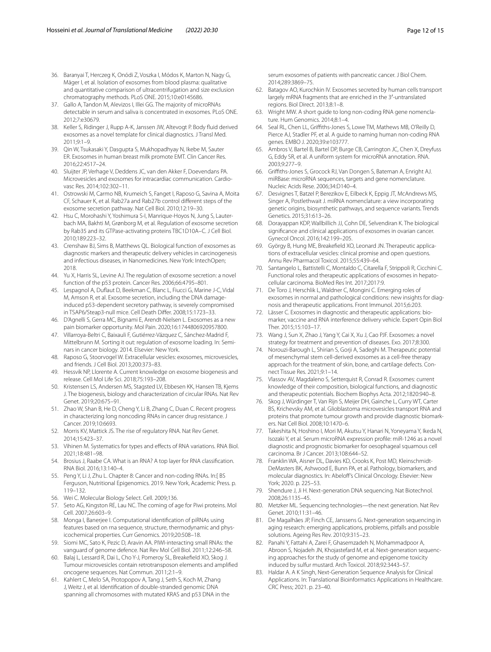- <span id="page-11-0"></span>36. Baranyai T, Herczeg K, Onódi Z, Voszka I, Módos K, Marton N, Nagy G, Mäger I, et al. Isolation of exosomes from blood plasma: qualitative and quantitative comparison of ultracentrifugation and size exclusion chromatography methods. PLoS ONE. 2015;10:e0145686.
- <span id="page-11-1"></span>37. Gallo A, Tandon M, Alevizos I, Illei GG. The majority of microRNAs detectable in serum and saliva is concentrated in exosomes. PLoS ONE. 2012;7:e30679.
- <span id="page-11-2"></span>38. Keller S, Ridinger J, Rupp A-K, Janssen JW, Altevogt P. Body fuid derived exosomes as a novel template for clinical diagnostics. J Transl Med. 2011;9:1–9.
- <span id="page-11-3"></span>39. Qin W, Tsukasaki Y, Dasgupta S, Mukhopadhyay N, Ikebe M, Sauter ER. Exosomes in human breast milk promote EMT. Clin Cancer Res. 2016;22:4517–24.
- <span id="page-11-4"></span>40. Sluijter JP, Verhage V, Deddens JC, van den Akker F, Doevendans PA. Microvesicles and exosomes for intracardiac communication. Cardiovasc Res. 2014;102:302–11.
- 41. Ostrowski M, Carmo NB, Krumeich S, Fanget I, Raposo G, Savina A, Moita CF, Schauer K, et al. Rab27a and Rab27b control diferent steps of the exosome secretion pathway. Nat Cell Biol. 2010;12:19–30.
- 42. Hsu C, Morohashi Y, Yoshimura S-I, Manrique-Hoyos N, Jung S, Lauterbach MA, Bakhti M, Grønborg M, et al. Regulation of exosome secretion by Rab35 and its GTPase-activating proteins TBC1D10A–C. J Cell Biol. 2010;189:223–32.
- <span id="page-11-5"></span>43. Crenshaw BJ, Sims B, Matthews QL. Biological function of exosomes as diagnostic markers and therapeutic delivery vehicles in carcinogenesis and infectious diseases, in Nanomedicines. New York: IntechOpen; 2018.
- <span id="page-11-6"></span>44. Yu X, Harris SL, Levine AJ. The regulation of exosome secretion: a novel function of the p53 protein. Cancer Res. 2006;66:4795–801.
- <span id="page-11-7"></span>45. Lespagnol A, Dufaut D, Beekman C, Blanc L, Fiucci G, Marine J-C, Vidal M, Amson R, et al. Exosome secretion, including the DNA damageinduced p53-dependent secretory pathway, is severely compromised in TSAP6/Steap3-null mice. Cell Death Difer. 2008;15:1723–33.
- <span id="page-11-8"></span>46. D'Agnelli S, Gerra MC, Bignami E, Arendt-Nielsen L. Exosomes as a new pain biomarker opportunity. Mol Pain. 2020;16:1744806920957800.
- <span id="page-11-9"></span>47. Villarroya-Beltri C, Baixauli F, Gutiérrez-Vázquez C, Sánchez-Madrid F, Mittelbrunn M. Sorting it out: regulation of exosome loading. In: Seminars in cancer biology. 2014. Elsevier: New York.
- <span id="page-11-10"></span>48. Raposo G, Stoorvogel W. Extracellular vesicles: exosomes, microvesicles, and friends. J Cell Biol. 2013;200:373–83.
- <span id="page-11-11"></span>49. Hessvik NP, Llorente A. Current knowledge on exosome biogenesis and release. Cell Mol Life Sci. 2018;75:193–208.
- <span id="page-11-12"></span>Kristensen LS, Andersen MS, Stagsted LV, Ebbesen KK, Hansen TB, Kjems J. The biogenesis, biology and characterization of circular RNAs. Nat Rev Genet. 2019;20:675–91.
- <span id="page-11-13"></span>51. Zhao W, Shan B, He D, Cheng Y, Li B, Zhang C, Duan C. Recent progress in characterizing long noncoding RNAs in cancer drug resistance. J Cancer. 2019;10:6693.
- <span id="page-11-14"></span>52. Morris KV, Mattick JS. The rise of regulatory RNA. Nat Rev Genet. 2014;15:423–37.
- 53. Vihinen M. Systematics for types and efects of RNA variations. RNA Biol. 2021;18:481–98.
- 54. Brosius J, Raabe CA. What is an RNA? A top layer for RNA classifcation. RNA Biol. 2016;13:140–4.
- <span id="page-11-15"></span>55. Peng Y, Li J, Zhu L. Chapter 8: Cancer and non-coding RNAs. In:[ BS Ferguson, Nutritional Epigenomics. 2019. New York, Academic Press. p. 119–132.
- <span id="page-11-16"></span>56. Wei C. Molecular Biology Select. Cell. 2009;136.
- 57. Seto AG, Kingston RE, Lau NC. The coming of age for Piwi proteins. Mol Cell. 2007;26:603–9.
- 58. Monga I, Banerjee I. Computational identifcation of piRNAs using features based on rna sequence, structure, thermodynamic and physicochemical properties. Curr Genomics. 2019;20:508–18.
- <span id="page-11-17"></span>59. Siomi MC, Sato K, Pezic D, Aravin AA. PIWI-interacting small RNAs: the vanguard of genome defence. Nat Rev Mol Cell Biol. 2011;12:246–58.
- <span id="page-11-18"></span>60. Balaj L, Lessard R, Dai L, Cho Y-J, Pomeroy SL, Breakefeld XO, Skog J. Tumour microvesicles contain retrotransposon elements and amplifed oncogene sequences. Nat Commun. 2011;2:1–9.
- <span id="page-11-19"></span>61. Kahlert C, Melo SA, Protopopov A, Tang J, Seth S, Koch M, Zhang J, Weitz J, et al. Identifcation of double-stranded genomic DNA spanning all chromosomes with mutated KRAS and p53 DNA in the

serum exosomes of patients with pancreatic cancer. J Biol Chem. 2014;289:3869–75.

- <span id="page-11-20"></span>62. Batagov AO, Kurochkin IV. Exosomes secreted by human cells transport largely mRNA fragments that are enriched in the 3′-untranslated regions. Biol Direct. 2013;8:1–8.
- <span id="page-11-21"></span>63. Wright MW. A short guide to long non-coding RNA gene nomenclature. Hum Genomics. 2014;8:1–4.
- <span id="page-11-22"></span>64. Seal RL, Chen LL, Grifths-Jones S, Lowe TM, Mathews MB, O'Reilly D, Pierce AJ, Stadler PF, et al. A guide to naming human non-coding RNA genes. EMBO J. 2020;39:e103777.
- 65. Ambros V, Bartel B, Bartel DP, Burge CB, Carrington JC, Chen X, Dreyfuss G, Eddy SR, et al. A uniform system for microRNA annotation. RNA. 2003;9:277–9.
- 66. Grifths-Jones S, Grocock RJ, Van Dongen S, Bateman A, Enright AJ. miRBase: microRNA sequences, targets and gene nomenclature. Nucleic Acids Rese. 2006;34:D140–4.
- <span id="page-11-23"></span>67. Desvignes T, Batzel P, Berezikov E, Eilbeck K, Eppig JT, McAndrews MS, Singer A, Postlethwait J. miRNA nomenclature: a view incorporating genetic origins, biosynthetic pathways, and sequence variants. Trends Genetics. 2015;31:613–26.
- <span id="page-11-24"></span>68. Dorayappan KDP, Wallbillich JJ, Cohn DE, Selvendiran K. The biological signifcance and clinical applications of exosomes in ovarian cancer. Gynecol Oncol. 2016;142:199–205.
- 69. György B, Hung ME, Breakefeld XO, Leonard JN. Therapeutic applications of extracellular vesicles: clinical promise and open questions. Annu Rev Pharmacol Toxicol. 2015;55:439–64.
- <span id="page-11-25"></span>70. Santangelo L, Battistelli C, Montaldo C, Citarella F, Strippoli R, Cicchini C. Functional roles and therapeutic applications of exosomes in hepatocellular carcinoma. BioMed Res Int. 2017;2017:9.
- <span id="page-11-26"></span>71. De Toro J, Herschlik L, Waldner C, Mongini C. Emerging roles of exosomes in normal and pathological conditions: new insights for diagnosis and therapeutic applications. Front Immunol. 2015;6:203.
- 72. Lässer C. Exosomes in diagnostic and therapeutic applications: biomarker, vaccine and RNA interference delivery vehicle. Expert Opin Biol Ther. 2015;15:103–17.
- 73. Wang J, Sun X, Zhao J, Yang Y, Cai X, Xu J, Cao PJF. Exosomes: a novel strategy for treatment and prevention of diseases. Exo. 2017;8:300.
- <span id="page-11-27"></span>74. Norouzi-Barough L, Shirian S, Gorji A, Sadeghi M. Therapeutic potential of mesenchymal stem cell-derived exosomes as a cell-free therapy approach for the treatment of skin, bone, and cartilage defects. Connect Tissue Res. 2021;9:1–14.
- <span id="page-11-28"></span>75. Vlassov AV, Magdaleno S, Setterquist R, Conrad R. Exosomes: current knowledge of their composition, biological functions, and diagnostic and therapeutic potentials. Biochem Biophys Acta. 2012;1820:940–8.
- <span id="page-11-29"></span>76. Skog J, Würdinger T, Van Rijn S, Meijer DH, Gainche L, Curry WT, Carter BS, Krichevsky AM, et al. Glioblastoma microvesicles transport RNA and proteins that promote tumour growth and provide diagnostic biomarkers. Nat Cell Biol. 2008;10:1470–6.
- <span id="page-11-30"></span>77. Takeshita N, Hoshino I, Mori M, Akutsu Y, Hanari N, Yoneyama Y, Ikeda N, Isozaki Y, et al. Serum microRNA expression profle: miR-1246 as a novel diagnostic and prognostic biomarker for oesophageal squamous cell carcinoma. Br J Cancer. 2013;108:644–52.
- <span id="page-11-31"></span>78. Franklin WA, Aisner DL, Davies KD, Crooks K, Post MD, Kleinschmidt-DeMasters BK, Ashwood E, Bunn PA, et al. Pathology, biomarkers, and molecular diagnostics. In: Abelof's Clinical Oncology. Elsevier: New York; 2020. p. 225–53.
- <span id="page-11-32"></span>79. Shendure J, Ji H. Next-generation DNA sequencing. Nat Biotechnol. 2008;26:1135–45.
- <span id="page-11-33"></span>80. Metzker ML. Sequencing technologies—the next generation. Nat Rev Genet. 2010;11:31–46.
- <span id="page-11-34"></span>81. De Magalhães JP, Finch CE, Janssens G. Next-generation sequencing in aging research: emerging applications, problems, pitfalls and possible solutions. Ageing Res Rev. 2010;9:315–23.
- <span id="page-11-35"></span>82. Panahi Y, Fattahi A, Zarei F, Ghasemzadeh N, Mohammadpoor A, Abroon S, Nojadeh JN, Khojastefard M, et al. Next-generation sequencing approaches for the study of genome and epigenome toxicity induced by sulfur mustard. Arch Toxicol. 2018;92:3443–57.
- <span id="page-11-36"></span>83. Haldar A. A K Singh, Next-Generation Sequence Analysis for Clinical Applications. In: Translational Bioinformatics Applications in Healthcare. CRC Press; 2021. p. 23–40.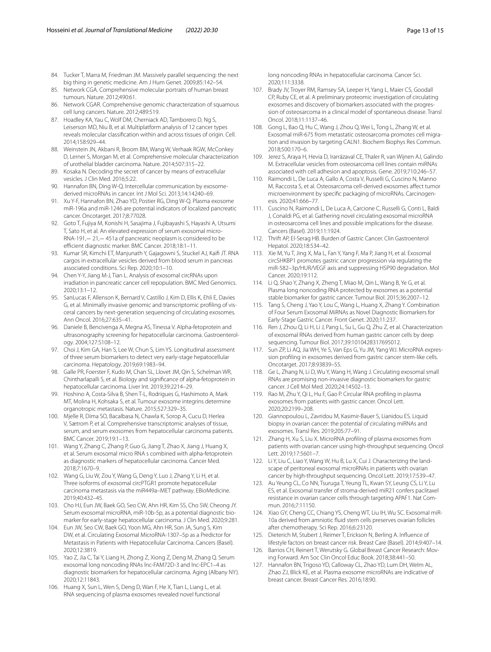- <span id="page-12-0"></span>84. Tucker T, Marra M, Friedman JM. Massively parallel sequencing: the next big thing in genetic medicine. Am J Hum Genet. 2009;85:142–54.
- <span id="page-12-1"></span>85. Network CGA. Comprehensive molecular portraits of human breast tumours. Nature. 2012;490:61.
- <span id="page-12-2"></span>86. Network CGAR. Comprehensive genomic characterization of squamous cell lung cancers. Nature. 2012;489:519.
- <span id="page-12-3"></span>87. Hoadley KA, Yau C, Wolf DM, Cherniack AD, Tamborero D, Ng S, Leiserson MD, Niu B, et al. Multiplatform analysis of 12 cancer types reveals molecular classifcation within and across tissues of origin. Cell. 2014;158:929–44.
- <span id="page-12-4"></span>88. Weinstein JN, Akbani R, Broom BM, Wang W, Verhaak RGW, McConkey D, Lerner S, Morgan M, et al. Comprehensive molecular characterization of urothelial bladder carcinoma. Nature. 2014;507:315–22.
- <span id="page-12-7"></span>89. Kosaka N. Decoding the secret of cancer by means of extracellular vesicles. J Clin Med. 2016;5:22.
- <span id="page-12-8"></span>90. Hannafon BN, Ding W-Q. Intercellular communication by exosomederived microRNAs in cancer. Int J Mol Sci. 2013;14:14240–69.
- <span id="page-12-9"></span>91. Xu Y-F, Hannafon BN, Zhao YD, Postier RG, Ding W-Q. Plasma exosome miR-196a and miR-1246 are potential indicators of localized pancreatic cancer. Oncotarget. 2017;8:77028.
- <span id="page-12-10"></span>92. Goto T, Fujiya M, Konishi H, Sasajima J, Fujibayashi S, Hayashi A, Utsumi T, Sato H, et al. An elevated expression of serum exosomal micro-RNA-191,− 21,− 451a of pancreatic neoplasm is considered to be efficient diagnostic marker. BMC Cancer. 2018;18:1-11.
- <span id="page-12-11"></span>93. Kumar SR, Kimchi ET, Manjunath Y, Gajagowni S, Stuckel AJ, Kaif JT. RNA cargos in extracellular vesicles derived from blood serum in pancreas associated conditions. Sci Rep. 2020;10:1–10.
- <span id="page-12-12"></span>94. Chen Y-Y, Jiang M-J, Tian L. Analysis of exosomal circRNAs upon irradiation in pancreatic cancer cell repopulation. BMC Med Genomics. 2020;13:1–12.
- <span id="page-12-13"></span>95. SanLucas F, Allenson K, Bernard V, Castillo J, Kim D, Ellis K, Ehli E, Davies G, et al. Minimally invasive genomic and transcriptomic profling of visceral cancers by next-generation sequencing of circulating exosomes. Ann Oncol. 2016;27:635–41.
- <span id="page-12-14"></span>96. Daniele B, Bencivenga A, Megna AS, Tinessa V. Alpha-fetoprotein and ultrasonography screening for hepatocellular carcinoma. Gastroenterology. 2004;127:S108–12.
- <span id="page-12-15"></span>97. Choi J, Kim GA, Han S, Lee W, Chun S, Lim YS. Longitudinal assessment of three serum biomarkers to detect very early-stage hepatocellular carcinoma. Hepatology. 2019;69:1983–94.
- <span id="page-12-5"></span>Galle PR, Foerster F, Kudo M, Chan SL, Llovet JM, Qin S, Schelman WR, Chintharlapalli S, et al. Biology and signifcance of alpha-fetoprotein in hepatocellular carcinoma. Liver Int. 2019;39:2214–29.
- <span id="page-12-16"></span>99. Hoshino A, Costa-Silva B, Shen T-L, Rodrigues G, Hashimoto A, Mark MT, Molina H, Kohsaka S, et al. Tumour exosome integrins determine organotropic metastasis. Nature. 2015;527:329–35.
- <span id="page-12-17"></span>100. Mjelle R, Dima SO, Bacalbasa N, Chawla K, Sorop A, Cucu D, Herlea V, Sætrom P, et al. Comprehensive transcriptomic analyses of tissue, serum, and serum exosomes from hepatocellular carcinoma patients. BMC Cancer. 2019;19:1–13.
- <span id="page-12-18"></span>101. Wang Y, Zhang C, Zhang P, Guo G, Jiang T, Zhao X, Jiang J, Huang X, et al. Serum exosomal micro RNA s combined with alpha-fetoprotein as diagnostic markers of hepatocellular carcinoma. Cancer Med. 2018;7:1670–9.
- <span id="page-12-19"></span>102. Wang G, Liu W, Zou Y, Wang G, Deng Y, Luo J, Zhang Y, Li H, et al. Three isoforms of exosomal circPTGR1 promote hepatocellular carcinoma metastasis via the miR449a–MET pathway. EBioMedicine. 2019;40:432–45.
- <span id="page-12-6"></span>103. Cho HJ, Eun JW, Baek GO, Seo CW, Ahn HR, Kim SS, Cho SW, Cheong JY. Serum exosomal microRNA, miR-10b-5p, as a potential diagnostic biomarker for early-stage hepatocellular carcinoma. J Clin Med. 2020;9:281.
- <span id="page-12-20"></span>104. Eun JW, Seo CW, Baek GO, Yoon MG, Ahn HR, Son JA, Sung S, Kim DW, et al. Circulating Exosomal MicroRNA-1307–5p as a Predictor for Metastasis in Patients with Hepatocellular Carcinoma. Cancers (Basel). 2020;12:3819.
- <span id="page-12-21"></span>105. Yao Z, Jia C, Tai Y, Liang H, Zhong Z, Xiong Z, Deng M, Zhang Q. Serum exosomal long noncoding RNAs lnc-FAM72D-3 and lnc-EPC1–4 as diagnostic biomarkers for hepatocellular carcinoma. Aging (Albany NY). 2020;12:11843.
- <span id="page-12-22"></span>106. Huang X, Sun L, Wen S, Deng D, Wan F, He X, Tian L, Liang L, et al. RNA sequencing of plasma exosomes revealed novel functional

long noncoding RNAs in hepatocellular carcinoma. Cancer Sci. 2020;111:3338.

- <span id="page-12-23"></span>107. Brady JV, Troyer RM, Ramsey SA, Leeper H, Yang L, Maier CS, Goodall CP, Ruby CE, et al. A preliminary proteomic investigation of circulating exosomes and discovery of biomarkers associated with the progression of osteosarcoma in a clinical model of spontaneous disease. Transl Oncol. 2018;11:1137–46.
- <span id="page-12-24"></span>108. Gong L, Bao Q, Hu C, Wang J, Zhou Q, Wei L, Tong L, Zhang W, et al. Exosomal miR-675 from metastatic osteosarcoma promotes cell migration and invasion by targeting CALN1. Biochem Biophys Res Commun. 2018;500:170–6.
- <span id="page-12-25"></span>109. Jerez S, Araya H, Hevia D, Irarrázaval CE, Thaler R, van Wijnen AJ, Galindo M. Extracellular vesicles from osteosarcoma cell lines contain miRNAs associated with cell adhesion and apoptosis. Gene. 2019;710:246–57.
- <span id="page-12-26"></span>110. Raimondi L, De Luca A, Gallo A, Costa V, Russelli G, Cuscino N, Manno M, Raccosta S, et al. Osteosarcoma cell-derived exosomes afect tumor microenvironment by specifc packaging of microRNAs. Carcinogenesis. 2020;41:666–77.
- <span id="page-12-27"></span>111. Cuscino N, Raimondi L, De Luca A, Carcione C, Russelli G, Conti L, Baldi J, Conaldi PG, et al. Gathering novel circulating exosomal microRNA in osteosarcoma cell lines and possible implications for the disease. Cancers (Basel). 2019;11:1924.
- <span id="page-12-28"></span>112. Thrift AP, El-Serag HB. Burden of Gastric Cancer. Clin Gastroenterol Hepatol. 2020;18:534–42.
- <span id="page-12-29"></span>113. Xie M, Yu T, Jing X, Ma L, Fan Y, Yang F, Ma P, Jiang H, et al. Exosomal circSHKBP1 promotes gastric cancer progression via regulating the miR-582–3p/HUR/VEGF axis and suppressing HSP90 degradation. Mol Cancer. 2020;19:112.
- <span id="page-12-30"></span>114. Li Q, Shao Y, Zhang X, Zheng T, Miao M, Qin L, Wang B, Ye G, et al. Plasma long noncoding RNA protected by exosomes as a potential stable biomarker for gastric cancer. Tumour Biol. 2015;36:2007–12.
- <span id="page-12-31"></span>115. Tang S, Cheng J, Yao Y, Lou C, Wang L, Huang X, Zhang Y. Combination of Four Serum Exosomal MiRNAs as Novel Diagnostic Biomarkers for Early-Stage Gastric Cancer. Front Genet. 2020;11:237.
- <span id="page-12-32"></span>116. Ren J, Zhou Q, Li H, Li J, Pang L, Su L, Gu Q, Zhu Z, et al. Characterization of exosomal RNAs derived from human gastric cancer cells by deep sequencing. Tumour Biol. 2017;39:1010428317695012.
- <span id="page-12-33"></span>117. Sun ZP, Li AQ, Jia WH, Ye S, Van Eps G, Yu JM, Yang WJ. MicroRNA expression profling in exosomes derived from gastric cancer stem-like cells. Oncotarget. 2017;8:93839–55.
- <span id="page-12-34"></span>118. Ge L, Zhang N, Li D, Wu Y, Wang H, Wang J. Circulating exosomal small RNAs are promising non-invasive diagnostic biomarkers for gastric cancer. J Cell Mol Med. 2020;24:14502–13.
- <span id="page-12-35"></span>119. Rao M, Zhu Y, Qi L, Hu F, Gao P. Circular RNA profling in plasma exosomes from patients with gastric cancer. Oncol Lett. 2020;20:2199–208.
- <span id="page-12-36"></span>120. Giannopoulou L, Zavridou M, Kasimir-Bauer S, Lianidou ES. Liquid biopsy in ovarian cancer: the potential of circulating miRNAs and exosomes. Transl Res. 2019;205:77–91.
- <span id="page-12-37"></span>121. Zhang H, Xu S, Liu X. MicroRNA profling of plasma exosomes from patients with ovarian cancer using high-throughput sequencing. Oncol Lett. 2019;17:5601–7.
- <span id="page-12-38"></span>122. Li Y, Liu C, Liao Y, Wang W, Hu B, Lu X, Cui J. Characterizing the landscape of peritoneal exosomal microRNAs in patients with ovarian cancer by high-throughput sequencing. Oncol Lett. 2019;17:539–47.
- <span id="page-12-39"></span>123. Au Yeung CL, Co NN, Tsuruga T, Yeung TL, Kwan SY, Leung CS, Li Y, Lu ES, et al. Exosomal transfer of stroma-derived miR21 confers paclitaxel resistance in ovarian cancer cells through targeting APAF1. Nat Commun. 2016;7:11150.
- <span id="page-12-40"></span>124. Xiao GY, Cheng CC, Chiang YS, Cheng WT, Liu IH, Wu SC. Exosomal miR-10a derived from amniotic fuid stem cells preserves ovarian follicles after chemotherapy. Sci Rep. 2016;6:23120.
- <span id="page-12-41"></span>125. Dieterich M, Stubert J, Reimer T, Erickson N, Berling A. Infuence of lifestyle factors on breast cancer risk. Breast Care (Basel). 2014;9:407–14.
- <span id="page-12-42"></span>126. Barrios CH, Reinert T, Werutsky G. Global Breast Cancer Research: Moving Forward. Am Soc Clin Oncol Educ Book. 2018;38:441–50.
- <span id="page-12-43"></span>127. Hannafon BN, Trigoso YD, Calloway CL, Zhao YD, Lum DH, Welm AL, Zhao ZJ, Blick KE, et al. Plasma exosome microRNAs are indicative of breast cancer. Breast Cancer Res. 2016;18:90.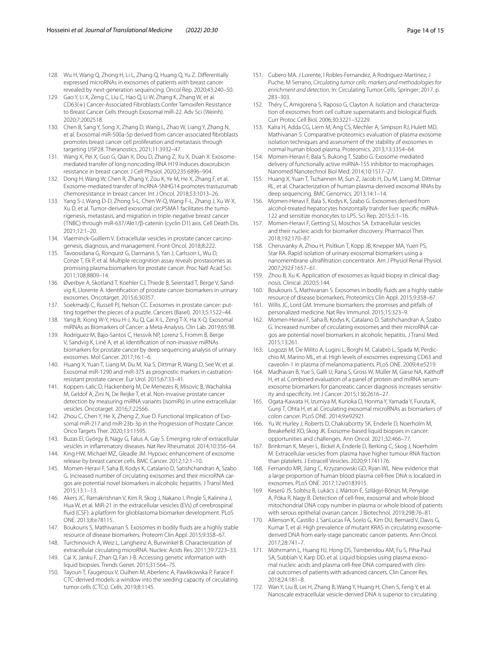- <span id="page-13-0"></span>128. Wu H, Wang Q, Zhong H, Li L, Zhang Q, Huang Q, Yu Z. Diferentially expressed microRNAs in exosomes of patients with breast cancer revealed by next-generation sequencing. Oncol Rep. 2020;43:240–50.
- <span id="page-13-1"></span>129. Gao Y, Li X, Zeng C, Liu C, Hao Q, Li W, Zhang K, Zhang W, et al. CD63(+) Cancer-Associated Fibroblasts Confer Tamoxifen Resistance to Breast Cancer Cells through Exosomal miR-22. Adv Sci (Weinh). 2020;7:2002518.
- <span id="page-13-2"></span>130. Chen B, Sang Y, Song X, Zhang D, Wang L, Zhao W, Liang Y, Zhang N, et al. Exosomal miR-500a-5p derived from cancer-associated fbroblasts promotes breast cancer cell proliferation and metastasis through targeting USP28. Theranostics. 2021;11:3932–47.
- <span id="page-13-3"></span>131. Wang X, Pei X, Guo G, Qian X, Dou D, Zhang Z, Xu X, Duan X. Exosomemediated transfer of long noncoding RNA H19 induces doxorubicin resistance in breast cancer. J Cell Physiol. 2020;235:6896–904.
- <span id="page-13-4"></span>132. Dong H, Wang W, Chen R, Zhang Y, Zou K, Ye M, He X, Zhang F, et al. Exosome-mediated transfer of lncRNA-SNHG14 promotes trastuzumab chemoresistance in breast cancer. Int J Oncol. 2018;53:1013–26.
- <span id="page-13-5"></span>133. Yang S-J, Wang D-D, Zhong S-L, Chen W-Q, Wang F-L, Zhang J, Xu W-X, Xu D, et al. Tumor-derived exosomal circPSMA1 facilitates the tumorigenesis, metastasis, and migration in triple-negative breast cancer (TNBC) through miR-637/Akt1/β-catenin (cyclin D1) axis. Cell Death Dis. 2021;12:1–20.
- <span id="page-13-6"></span>134. Vlaeminck-Guillem V. Extracellular vesicles in prostate cancer carcinogenesis, diagnosis, and management. Front Oncol. 2018;8:222.
- <span id="page-13-7"></span>135. Tavoosidana G, Ronquist G, Darmanis S, Yan J, Carlsson L, Wu D, Conze T, Ek P, et al. Multiple recognition assay reveals prostasomes as promising plasma biomarkers for prostate cancer. Proc Natl Acad Sci. 2011;108:8809–14.
- <span id="page-13-8"></span>136. Øverbye A, Skotland T, Koehler CJ, Thiede B, Seierstad T, Berge V, Sandvig K, Llorente A. Identifcation of prostate cancer biomarkers in urinary exosomes. Oncotarget. 2015;6:30357.
- <span id="page-13-9"></span>137. Soekmadji C, Russell PJ, Nelson CC. Exosomes in prostate cancer: putting together the pieces of a puzzle. Cancers (Basel). 2013;5:1522–44.
- <span id="page-13-10"></span>138. Yang B, Xiong W-Y, Hou H-J, Xu Q, Cai X-L, Zeng T-X, Ha X-Q. Exosomal miRNAs as Biomarkers of Cancer: a Meta-Analysis. Clin Lab. 2019;65:98.
- <span id="page-13-11"></span>139. Rodríguez M, Bajo-Santos C, Hessvik NP, Lorenz S, Fromm B, Berge V, Sandvig K, Linē A, et al. Identifcation of non-invasive miRNAs biomarkers for prostate cancer by deep sequencing analysis of urinary exosomes. Mol Cancer. 2017;16:1–6.
- <span id="page-13-12"></span>140. Huang X, Yuan T, Liang M, Du M, Xia S, Dittmar R, Wang D, See W, et al. Exosomal miR-1290 and miR-375 as prognostic markers in castrationresistant prostate cancer. Eur Urol. 2015;67:33–41.
- <span id="page-13-13"></span>141. Koppers-Lalic D, Hackenberg M, De Menezes R, Misovic B, Wachalska M, Geldof A, Zini N, De Reijke T, et al. Non-invasive prostate cancer detection by measuring miRNA variants (isomiRs) in urine extracellular vesicles. Oncotarget. 2016;7:22566.
- <span id="page-13-14"></span>142. Zhou C, Chen Y, He X, Zheng Z, Xue D. Functional Implication of Exosomal miR-217 and miR-23b-3p in the Progression of Prostate Cancer. Onco Targets Ther. 2020;13:11595.
- <span id="page-13-15"></span>143. Buzas EI, György B, Nagy G, Falus A, Gay S. Emerging role of extracellular vesicles in infammatory diseases. Nat Rev Rheumatol. 2014;10:356–64.
- 144. King HW, Michael MZ, Gleadle JM. Hypoxic enhancement of exosome release by breast cancer cells. BMC Cancer. 2012;12:1–10.
- 145. Momen-Heravi F, Saha B, Kodys K, Catalano D, Satishchandran A, Szabo G. Increased number of circulating exosomes and their microRNA cargos are potential novel biomarkers in alcoholic hepatitis. J Transl Med. 2015;13:1–13.
- 146. Akers JC, Ramakrishnan V, Kim R, Skog J, Nakano I, Pingle S, Kalinina J, Hua W, et al. MiR-21 in the extracellular vesicles (EVs) of cerebrospinal fuid (CSF): a platform for glioblastoma biomarker development. PLoS ONE. 2013;8:e78115.
- 147. Boukouris S, Mathivanan S. Exosomes in bodily fuids are a highly stable resource of disease biomarkers. Proteom Clin Appl. 2015;9:358–67.
- 148. Turchinovich A, Weiz L, Langheinz A, Burwinkel B. Characterization of extracellular circulating microRNA. Nucleic Acids Res. 2011;39:7223–33.
- <span id="page-13-16"></span>149. Cai X, Janku F, Zhan Q, Fan J-B. Accessing genetic information with liquid biopsies. Trends Genet. 2015;31:564–75.
- <span id="page-13-17"></span>150. Tayoun T, Faugeroux V, Oulhen M, Aberlenc A, Pawlikowska P, Farace F. CTC-derived models: a window into the seeding capacity of circulating tumor cells (CTCs). Cells. 2019;8:1145.
- <span id="page-13-18"></span>151. Cubero MA. J Lorente, I Robles-Fernandez, A Rodriguez-Martinez, J Puche, M Serrano, *Circulating tumor cells: markers and methodologies for enrichment and detection*. In: Circulating Tumor Cells. Springer; 2017. p. 283–303.
- <span id="page-13-19"></span>152. Théry C, Amigorena S, Raposo G, Clayton A. Isolation and characterization of exosomes from cell culture supernatants and biological fuids. Curr Protoc Cell Biol. 2006;30:3221–32229.
- <span id="page-13-20"></span>153. Kalra H, Adda CG, Liem M, Ang CS, Mechler A, Simpson RJ, Hulett MD, Mathivanan S. Comparative proteomics evaluation of plasma exosome isolation techniques and assessment of the stability of exosomes in normal human blood plasma. Proteomics. 2013;13:3354–64.
- 154. Momen-Heravi F, Bala S, Bukong T, Szabo G. Exosome-mediated delivery of functionally active miRNA-155 inhibitor to macrophages. Nanomed Nanotechnol Biol Med. 2014;10:1517–27.
- <span id="page-13-33"></span>155. Huang X, Yuan T, Tschannen M, Sun Z, Jacob H, Du M, Liang M, Dittmar RL, et al. Characterization of human plasma-derived exosomal RNAs by deep sequencing. BMC Genomics. 2013;14:1–14.
- 156. Momen-Heravi F, Bala S, Kodys K, Szabo G. Exosomes derived from alcohol-treated hepatocytes horizontally transfer liver specifc miRNA-122 and sensitize monocytes to LPS. Sci Rep. 2015;5:1–16.
- <span id="page-13-21"></span>157. Momen-Heravi F, Getting SJ, Moschos SA. Extracellular vesicles and their nucleic acids for biomarker discovery. Pharmacol Ther. 2018;192:170–87.
- <span id="page-13-22"></span>158. Cheruvanky A, Zhou H, Pisitkun T, Kopp JB, Knepper MA, Yuen PS, Star RA. Rapid isolation of urinary exosomal biomarkers using a nanomembrane ultrafltration concentrator. Am J Physiol Renal Physiol. 2007;292:F1657–61.
- <span id="page-13-23"></span>159. Zhou B, Xu K. Application of exosomes as liquid biopsy in clinical diagnosis. Clinical. 2020;5:144.
- <span id="page-13-24"></span>160. Boukouris S, Mathivanan S. Exosomes in bodily fuids are a highly stable resource of disease biomarkers. Proteomics Clin Appl. 2015;9:358–67.
- 161. Willis JC, Lord GM. Immune biomarkers: the promises and pitfalls of personalized medicine. Nat Rev Immunol. 2015;15:323–9.
- <span id="page-13-25"></span>162. Momen-Heravi F, Saha B, Kodys K, Catalano D, Satishchandran A, Szabo G. Increased number of circulating exosomes and their microRNA cargos are potential novel biomarkers in alcoholic hepatitis. J Transl Med. 2015;13:261.
- <span id="page-13-26"></span>163. Logozzi M, De Milito A, Lugini L, Borghi M, Calabrò L, Spada M, Perdicchio M, Marino ML, et al. High levels of exosomes expressing CD63 and caveolin-1 in plasma of melanoma patients. PLoS ONE. 2009;4:e5219.
- 164. Madhavan B, Yue S, Galli U, Rana S, Gross W, Müller M, Giese NA, Kalthof H, et al. Combined evaluation of a panel of protein and miRNA serumexosome biomarkers for pancreatic cancer diagnosis increases sensitivity and specifcity. Int J Cancer. 2015;136:2616–27.
- <span id="page-13-27"></span>165. Ogata-Kawata H, Izumiya M, Kurioka D, Honma Y, Yamada Y, Furuta K, Gunji T, Ohta H, et al. Circulating exosomal microRNAs as biomarkers of colon cancer. PLoS ONE. 2014;9:e92921.
- <span id="page-13-28"></span>166. Yu W, Hurley J, Roberts D, Chakrabortty SK, Enderle D, Noerholm M, Breakefeld XO, Skog JK. Exosome-based liquid biopsies in cancer: opportunities and challenges. Ann Oncol. 2021;32:466–77.
- <span id="page-13-29"></span>167. Brinkman K, Meyer L, Bickel A, Enderle D, Berking C, Skog J, Noerholm M. Extracellular vesicles from plasma have higher tumour RNA fraction than platelets. J Extracell Vesicles. 2020;9:1741176.
- <span id="page-13-30"></span>168. Fernando MR, Jiang C, Krzyzanowski GD, Ryan WL. New evidence that a large proportion of human blood plasma cell-free DNA is localized in exosomes. PLoS ONE. 2017;12:e0183915.
- <span id="page-13-31"></span>169. Keserű JS, Soltész B, Lukács J, Márton É, Szilágyi-Bónizs M, Penyige A, Póka R, Nagy B. Detection of cell-free, exosomal and whole blood mitochondrial DNA copy number in plasma or whole blood of patients with serous epithelial ovarian cancer. J Biotechnol. 2019;298:76–81.
- <span id="page-13-32"></span>170. Allenson K, Castillo J, SanLucas FA, Scelo G, Kim DU, Bernard V, Davis G, Kumar T, et al. High prevalence of mutant KRAS in circulating exosomederived DNA from early-stage pancreatic cancer patients. Ann Oncol. 2017;28:741–7.
- <span id="page-13-34"></span>171. Möhrmann L, Huang HJ, Hong DS, Tsimberidou AM, Fu S, Piha-Paul SA, Subbiah V, Karp DD, et al. Liquid biopsies using plasma exosomal nucleic acids and plasma cell-free DNA compared with clinical outcomes of patients with advanced cancers. Clin Cancer Res. 2018;24:181–8.
- 172. Wan Y, Liu B, Lei H, Zhang B, Wang Y, Huang H, Chen S, Feng Y, et al. Nanoscale extracellular vesicle-derived DNA is superior to circulating